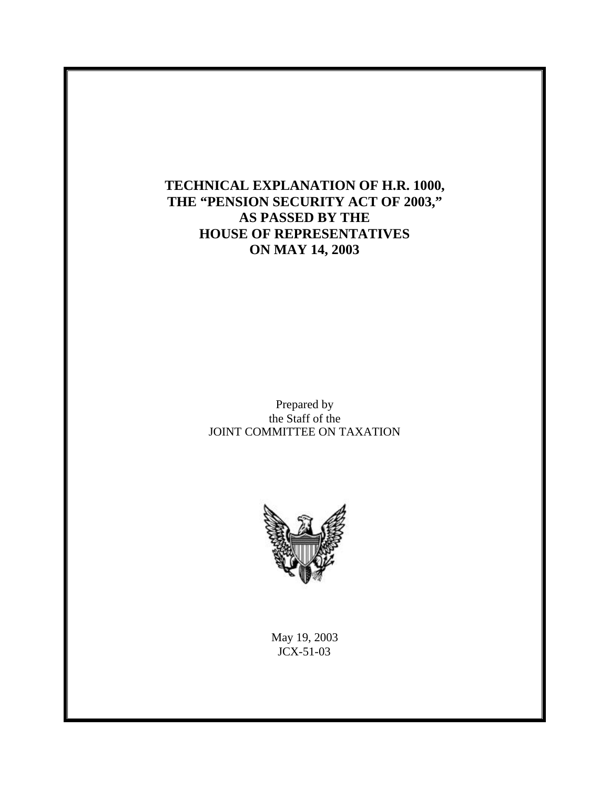**TECHNICAL EXPLANATION OF H.R. 1000, THE "PENSION SECURITY ACT OF 2003," AS PASSED BY THE HOUSE OF REPRESENTATIVES ON MAY 14, 2003**

> Prepared by the Staff of the JOINT COMMITTEE ON TAXATION



May 19, 2003 JCX-51-03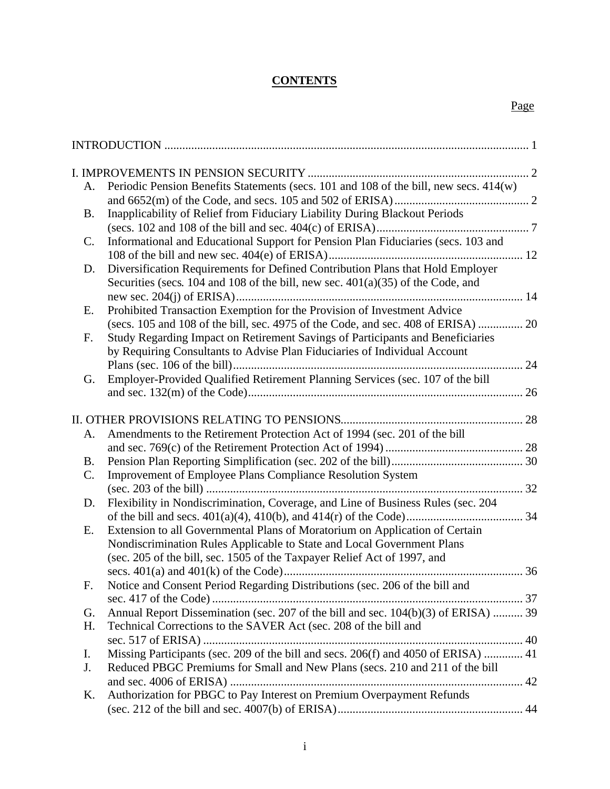## **CONTENTS**

| A.             | Periodic Pension Benefits Statements (secs. 101 and 108 of the bill, new secs. 414(w) |  |
|----------------|---------------------------------------------------------------------------------------|--|
|                |                                                                                       |  |
| <b>B.</b>      | Inapplicability of Relief from Fiduciary Liability During Blackout Periods            |  |
|                |                                                                                       |  |
| $\mathbf{C}$ . | Informational and Educational Support for Pension Plan Fiduciaries (secs. 103 and     |  |
|                |                                                                                       |  |
| D.             | Diversification Requirements for Defined Contribution Plans that Hold Employer        |  |
|                | Securities (secs. $104$ and $108$ of the bill, new sec. $401(a)(35)$ of the Code, and |  |
|                |                                                                                       |  |
| Ε.             | Prohibited Transaction Exemption for the Provision of Investment Advice               |  |
|                | (secs. 105 and 108 of the bill, sec. 4975 of the Code, and sec. 408 of ERISA)  20     |  |
| F.             | Study Regarding Impact on Retirement Savings of Participants and Beneficiaries        |  |
|                | by Requiring Consultants to Advise Plan Fiduciaries of Individual Account             |  |
|                |                                                                                       |  |
| G.             | Employer-Provided Qualified Retirement Planning Services (sec. 107 of the bill        |  |
|                |                                                                                       |  |
|                |                                                                                       |  |
| A.             | Amendments to the Retirement Protection Act of 1994 (sec. 201 of the bill             |  |
|                |                                                                                       |  |
| B.             |                                                                                       |  |
| C.             | <b>Improvement of Employee Plans Compliance Resolution System</b>                     |  |
|                |                                                                                       |  |
| D.             | Flexibility in Nondiscrimination, Coverage, and Line of Business Rules (sec. 204      |  |
|                |                                                                                       |  |
| Е.             | Extension to all Governmental Plans of Moratorium on Application of Certain           |  |
|                | Nondiscrimination Rules Applicable to State and Local Government Plans                |  |
|                | (sec. 205 of the bill, sec. 1505 of the Taxpayer Relief Act of 1997, and              |  |
|                |                                                                                       |  |
| F.             | Notice and Consent Period Regarding Distributions (sec. 206 of the bill and           |  |
|                |                                                                                       |  |
| G.             | Annual Report Dissemination (sec. 207 of the bill and sec. 104(b)(3) of ERISA)  39    |  |
| H.             | Technical Corrections to the SAVER Act (sec. 208 of the bill and                      |  |
|                |                                                                                       |  |
| I.             | Missing Participants (sec. 209 of the bill and secs. 206(f) and 4050 of ERISA)  41    |  |
| J.             | Reduced PBGC Premiums for Small and New Plans (secs. 210 and 211 of the bill          |  |
|                |                                                                                       |  |
| Κ.             | Authorization for PBGC to Pay Interest on Premium Overpayment Refunds                 |  |
|                |                                                                                       |  |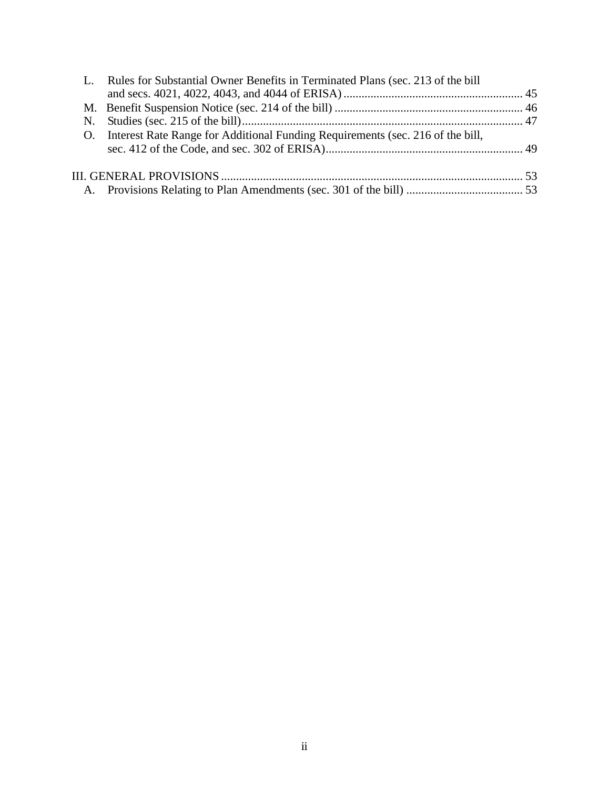|                | Rules for Substantial Owner Benefits in Terminated Plans (sec. 213 of the bill |  |  |
|----------------|--------------------------------------------------------------------------------|--|--|
|                |                                                                                |  |  |
|                |                                                                                |  |  |
| N.             |                                                                                |  |  |
| O <sub>1</sub> | Interest Rate Range for Additional Funding Requirements (sec. 216 of the bill, |  |  |
|                |                                                                                |  |  |
|                |                                                                                |  |  |
|                |                                                                                |  |  |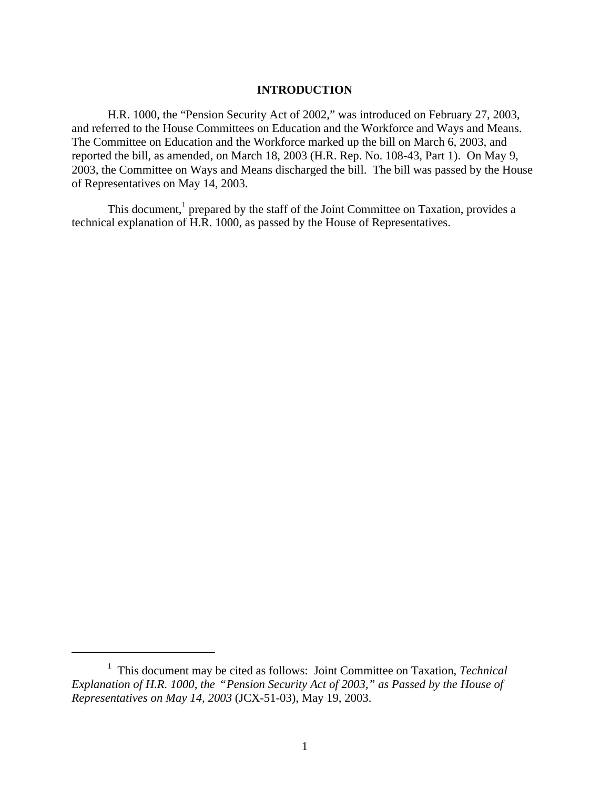## **INTRODUCTION**

H.R. 1000, the "Pension Security Act of 2002," was introduced on February 27, 2003, and referred to the House Committees on Education and the Workforce and Ways and Means. The Committee on Education and the Workforce marked up the bill on March 6, 2003, and reported the bill, as amended, on March 18, 2003 (H.R. Rep. No. 108-43, Part 1). On May 9, 2003, the Committee on Ways and Means discharged the bill. The bill was passed by the House of Representatives on May 14, 2003.

This document,<sup>1</sup> prepared by the staff of the Joint Committee on Taxation, provides a technical explanation of H.R. 1000, as passed by the House of Representatives.

<sup>&</sup>lt;sup>1</sup> This document may be cited as follows: Joint Committee on Taxation, *Technical Explanation of H.R. 1000, the* "*Pension Security Act of 2003," as Passed by the House of Representatives on May 14, 2003* (JCX-51-03), May 19, 2003.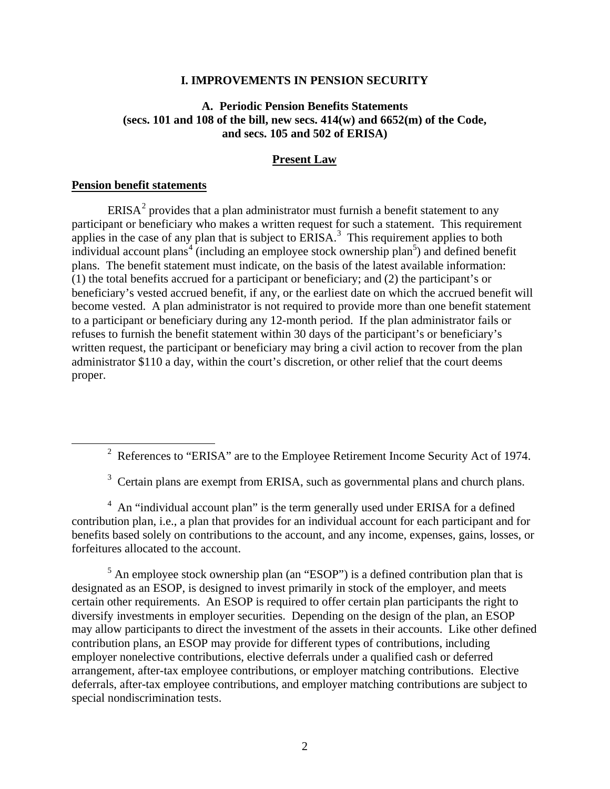#### **I. IMPROVEMENTS IN PENSION SECURITY**

## **A. Periodic Pension Benefits Statements (secs. 101 and 108 of the bill, new secs. 414(w) and 6652(m) of the Code, and secs. 105 and 502 of ERISA)**

#### **Present Law**

### **Pension benefit statements**

 $\overline{a}$ 

ERISA<sup>2</sup> provides that a plan administrator must furnish a benefit statement to any participant or beneficiary who makes a written request for such a statement. This requirement applies in the case of any plan that is subject to  $ERISA$ <sup>3</sup>. This requirement applies to both individual account plans<sup>4</sup> (including an employee stock ownership plan<sup>5</sup>) and defined benefit plans. The benefit statement must indicate, on the basis of the latest available information: (1) the total benefits accrued for a participant or beneficiary; and (2) the participant's or beneficiary's vested accrued benefit, if any, or the earliest date on which the accrued benefit will become vested. A plan administrator is not required to provide more than one benefit statement to a participant or beneficiary during any 12-month period. If the plan administrator fails or refuses to furnish the benefit statement within 30 days of the participant's or beneficiary's written request, the participant or beneficiary may bring a civil action to recover from the plan administrator \$110 a day, within the court's discretion, or other relief that the court deems proper.

 $3$  Certain plans are exempt from ERISA, such as governmental plans and church plans.

<sup>4</sup> An "individual account plan" is the term generally used under ERISA for a defined contribution plan, i.e., a plan that provides for an individual account for each participant and for benefits based solely on contributions to the account, and any income, expenses, gains, losses, or forfeitures allocated to the account.

 $<sup>5</sup>$  An employee stock ownership plan (an "ESOP") is a defined contribution plan that is</sup> designated as an ESOP, is designed to invest primarily in stock of the employer, and meets certain other requirements. An ESOP is required to offer certain plan participants the right to diversify investments in employer securities. Depending on the design of the plan, an ESOP may allow participants to direct the investment of the assets in their accounts. Like other defined contribution plans, an ESOP may provide for different types of contributions, including employer nonelective contributions, elective deferrals under a qualified cash or deferred arrangement, after-tax employee contributions, or employer matching contributions. Elective deferrals, after-tax employee contributions, and employer matching contributions are subject to special nondiscrimination tests.

<sup>&</sup>lt;sup>2</sup> References to "ERISA" are to the Employee Retirement Income Security Act of 1974.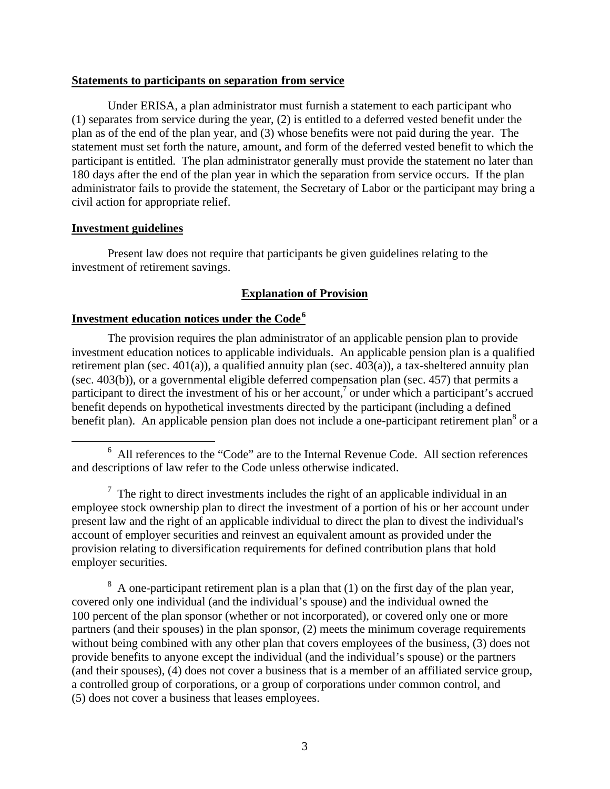### **Statements to participants on separation from service**

Under ERISA, a plan administrator must furnish a statement to each participant who (1) separates from service during the year, (2) is entitled to a deferred vested benefit under the plan as of the end of the plan year, and (3) whose benefits were not paid during the year. The statement must set forth the nature, amount, and form of the deferred vested benefit to which the participant is entitled. The plan administrator generally must provide the statement no later than 180 days after the end of the plan year in which the separation from service occurs. If the plan administrator fails to provide the statement, the Secretary of Labor or the participant may bring a civil action for appropriate relief.

### **Investment guidelines**

 $\overline{a}$ 

Present law does not require that participants be given guidelines relating to the investment of retirement savings.

### **Explanation of Provision**

## **Investment education notices under the Code<sup>6</sup>**

The provision requires the plan administrator of an applicable pension plan to provide investment education notices to applicable individuals. An applicable pension plan is a qualified retirement plan (sec. 401(a)), a qualified annuity plan (sec. 403(a)), a tax-sheltered annuity plan (sec. 403(b)), or a governmental eligible deferred compensation plan (sec. 457) that permits a participant to direct the investment of his or her account,<sup>7</sup> or under which a participant's accrued benefit depends on hypothetical investments directed by the participant (including a defined benefit plan). An applicable pension plan does not include a one-participant retirement plan<sup>8</sup> or a

 $\sigma$  The right to direct investments includes the right of an applicable individual in an employee stock ownership plan to direct the investment of a portion of his or her account under present law and the right of an applicable individual to direct the plan to divest the individual's account of employer securities and reinvest an equivalent amount as provided under the provision relating to diversification requirements for defined contribution plans that hold employer securities.

 $8 \text{ A}$  one-participant retirement plan is a plan that (1) on the first day of the plan year, covered only one individual (and the individual's spouse) and the individual owned the 100 percent of the plan sponsor (whether or not incorporated), or covered only one or more partners (and their spouses) in the plan sponsor, (2) meets the minimum coverage requirements without being combined with any other plan that covers employees of the business, (3) does not provide benefits to anyone except the individual (and the individual's spouse) or the partners (and their spouses), (4) does not cover a business that is a member of an affiliated service group, a controlled group of corporations, or a group of corporations under common control, and (5) does not cover a business that leases employees.

 $6$  All references to the "Code" are to the Internal Revenue Code. All section references and descriptions of law refer to the Code unless otherwise indicated.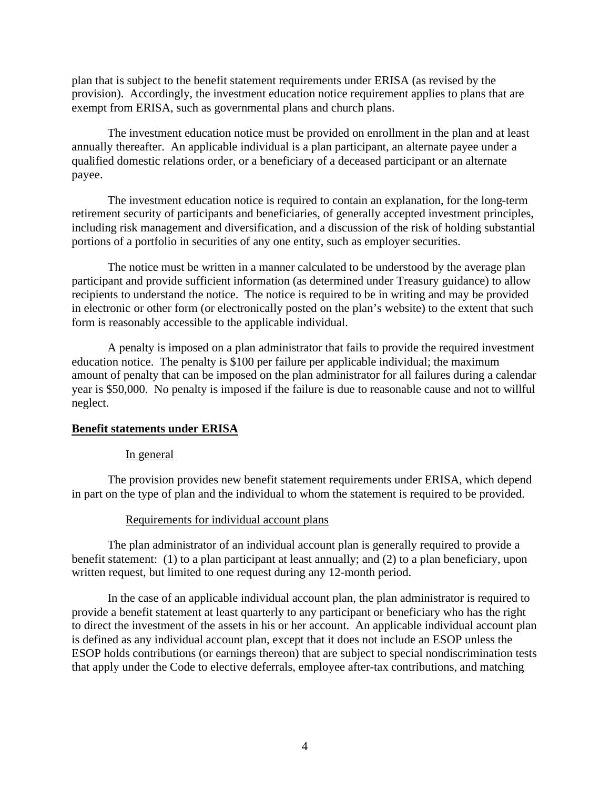plan that is subject to the benefit statement requirements under ERISA (as revised by the provision). Accordingly, the investment education notice requirement applies to plans that are exempt from ERISA, such as governmental plans and church plans.

The investment education notice must be provided on enrollment in the plan and at least annually thereafter. An applicable individual is a plan participant, an alternate payee under a qualified domestic relations order, or a beneficiary of a deceased participant or an alternate payee.

The investment education notice is required to contain an explanation, for the long-term retirement security of participants and beneficiaries, of generally accepted investment principles, including risk management and diversification, and a discussion of the risk of holding substantial portions of a portfolio in securities of any one entity, such as employer securities.

The notice must be written in a manner calculated to be understood by the average plan participant and provide sufficient information (as determined under Treasury guidance) to allow recipients to understand the notice. The notice is required to be in writing and may be provided in electronic or other form (or electronically posted on the plan's website) to the extent that such form is reasonably accessible to the applicable individual.

A penalty is imposed on a plan administrator that fails to provide the required investment education notice. The penalty is \$100 per failure per applicable individual; the maximum amount of penalty that can be imposed on the plan administrator for all failures during a calendar year is \$50,000. No penalty is imposed if the failure is due to reasonable cause and not to willful neglect.

### **Benefit statements under ERISA**

#### In general

The provision provides new benefit statement requirements under ERISA, which depend in part on the type of plan and the individual to whom the statement is required to be provided.

### Requirements for individual account plans

The plan administrator of an individual account plan is generally required to provide a benefit statement: (1) to a plan participant at least annually; and (2) to a plan beneficiary, upon written request, but limited to one request during any 12-month period.

In the case of an applicable individual account plan, the plan administrator is required to provide a benefit statement at least quarterly to any participant or beneficiary who has the right to direct the investment of the assets in his or her account. An applicable individual account plan is defined as any individual account plan, except that it does not include an ESOP unless the ESOP holds contributions (or earnings thereon) that are subject to special nondiscrimination tests that apply under the Code to elective deferrals, employee after-tax contributions, and matching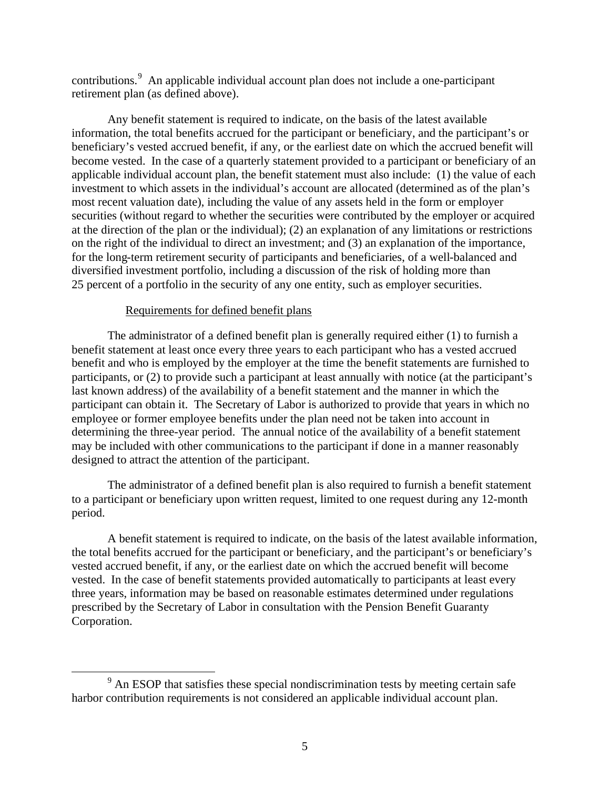contributions.<sup>9</sup> An applicable individual account plan does not include a one-participant retirement plan (as defined above).

Any benefit statement is required to indicate, on the basis of the latest available information, the total benefits accrued for the participant or beneficiary, and the participant's or beneficiary's vested accrued benefit, if any, or the earliest date on which the accrued benefit will become vested. In the case of a quarterly statement provided to a participant or beneficiary of an applicable individual account plan, the benefit statement must also include: (1) the value of each investment to which assets in the individual's account are allocated (determined as of the plan's most recent valuation date), including the value of any assets held in the form or employer securities (without regard to whether the securities were contributed by the employer or acquired at the direction of the plan or the individual); (2) an explanation of any limitations or restrictions on the right of the individual to direct an investment; and (3) an explanation of the importance, for the long-term retirement security of participants and beneficiaries, of a well-balanced and diversified investment portfolio, including a discussion of the risk of holding more than 25 percent of a portfolio in the security of any one entity, such as employer securities.

### Requirements for defined benefit plans

 $\overline{a}$ 

The administrator of a defined benefit plan is generally required either (1) to furnish a benefit statement at least once every three years to each participant who has a vested accrued benefit and who is employed by the employer at the time the benefit statements are furnished to participants, or (2) to provide such a participant at least annually with notice (at the participant's last known address) of the availability of a benefit statement and the manner in which the participant can obtain it. The Secretary of Labor is authorized to provide that years in which no employee or former employee benefits under the plan need not be taken into account in determining the three-year period. The annual notice of the availability of a benefit statement may be included with other communications to the participant if done in a manner reasonably designed to attract the attention of the participant.

The administrator of a defined benefit plan is also required to furnish a benefit statement to a participant or beneficiary upon written request, limited to one request during any 12-month period.

A benefit statement is required to indicate, on the basis of the latest available information, the total benefits accrued for the participant or beneficiary, and the participant's or beneficiary's vested accrued benefit, if any, or the earliest date on which the accrued benefit will become vested. In the case of benefit statements provided automatically to participants at least every three years, information may be based on reasonable estimates determined under regulations prescribed by the Secretary of Labor in consultation with the Pension Benefit Guaranty Corporation.

 $9<sup>9</sup>$  An ESOP that satisfies these special nondiscrimination tests by meeting certain safe harbor contribution requirements is not considered an applicable individual account plan.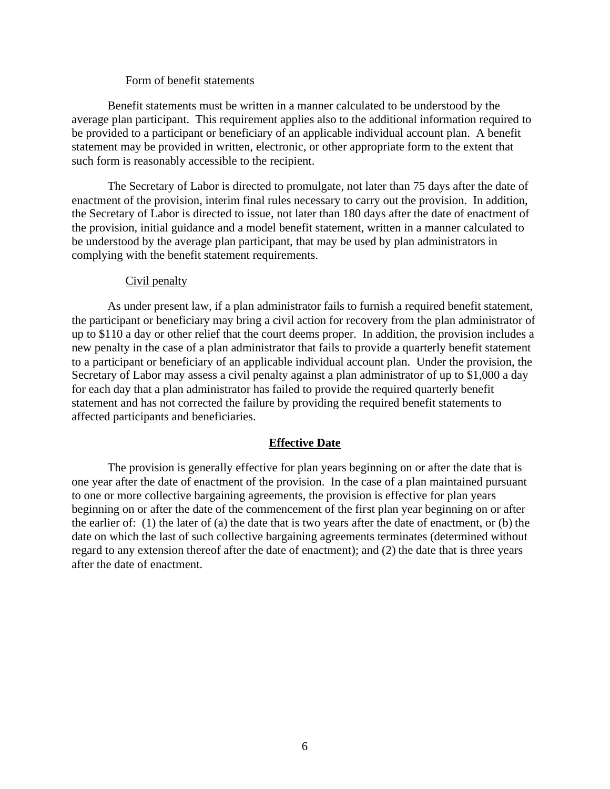### Form of benefit statements

Benefit statements must be written in a manner calculated to be understood by the average plan participant. This requirement applies also to the additional information required to be provided to a participant or beneficiary of an applicable individual account plan. A benefit statement may be provided in written, electronic, or other appropriate form to the extent that such form is reasonably accessible to the recipient.

The Secretary of Labor is directed to promulgate, not later than 75 days after the date of enactment of the provision, interim final rules necessary to carry out the provision. In addition, the Secretary of Labor is directed to issue, not later than 180 days after the date of enactment of the provision, initial guidance and a model benefit statement, written in a manner calculated to be understood by the average plan participant, that may be used by plan administrators in complying with the benefit statement requirements.

### Civil penalty

As under present law, if a plan administrator fails to furnish a required benefit statement, the participant or beneficiary may bring a civil action for recovery from the plan administrator of up to \$110 a day or other relief that the court deems proper. In addition, the provision includes a new penalty in the case of a plan administrator that fails to provide a quarterly benefit statement to a participant or beneficiary of an applicable individual account plan. Under the provision, the Secretary of Labor may assess a civil penalty against a plan administrator of up to \$1,000 a day for each day that a plan administrator has failed to provide the required quarterly benefit statement and has not corrected the failure by providing the required benefit statements to affected participants and beneficiaries.

### **Effective Date**

The provision is generally effective for plan years beginning on or after the date that is one year after the date of enactment of the provision. In the case of a plan maintained pursuant to one or more collective bargaining agreements, the provision is effective for plan years beginning on or after the date of the commencement of the first plan year beginning on or after the earlier of: (1) the later of (a) the date that is two years after the date of enactment, or (b) the date on which the last of such collective bargaining agreements terminates (determined without regard to any extension thereof after the date of enactment); and (2) the date that is three years after the date of enactment.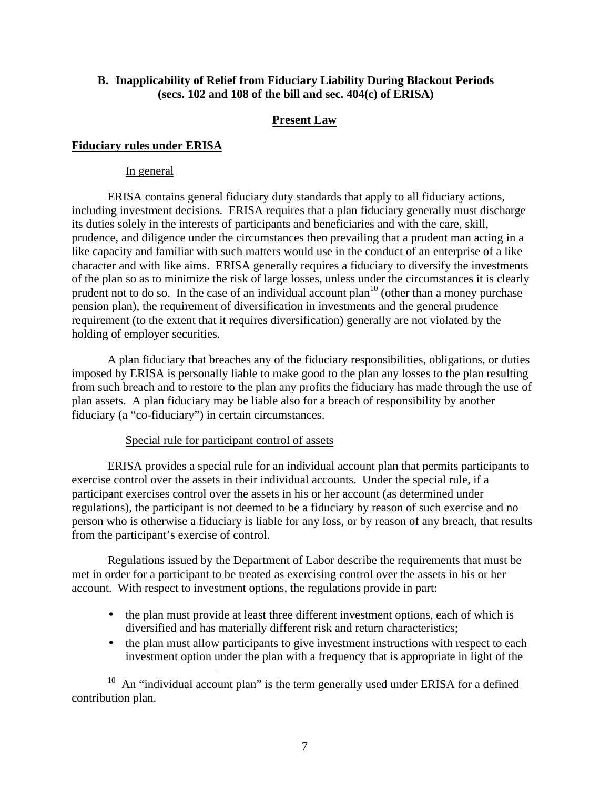## **B. Inapplicability of Relief from Fiduciary Liability During Blackout Periods (secs. 102 and 108 of the bill and sec. 404(c) of ERISA)**

## **Present Law**

## **Fiduciary rules under ERISA**

## In general

 $\overline{a}$ 

ERISA contains general fiduciary duty standards that apply to all fiduciary actions, including investment decisions. ERISA requires that a plan fiduciary generally must discharge its duties solely in the interests of participants and beneficiaries and with the care, skill, prudence, and diligence under the circumstances then prevailing that a prudent man acting in a like capacity and familiar with such matters would use in the conduct of an enterprise of a like character and with like aims. ERISA generally requires a fiduciary to diversify the investments of the plan so as to minimize the risk of large losses, unless under the circumstances it is clearly prudent not to do so. In the case of an individual account  $plan^{10}$  (other than a money purchase pension plan), the requirement of diversification in investments and the general prudence requirement (to the extent that it requires diversification) generally are not violated by the holding of employer securities.

A plan fiduciary that breaches any of the fiduciary responsibilities, obligations, or duties imposed by ERISA is personally liable to make good to the plan any losses to the plan resulting from such breach and to restore to the plan any profits the fiduciary has made through the use of plan assets. A plan fiduciary may be liable also for a breach of responsibility by another fiduciary (a "co-fiduciary") in certain circumstances.

## Special rule for participant control of assets

ERISA provides a special rule for an individual account plan that permits participants to exercise control over the assets in their individual accounts. Under the special rule, if a participant exercises control over the assets in his or her account (as determined under regulations), the participant is not deemed to be a fiduciary by reason of such exercise and no person who is otherwise a fiduciary is liable for any loss, or by reason of any breach, that results from the participant's exercise of control.

Regulations issued by the Department of Labor describe the requirements that must be met in order for a participant to be treated as exercising control over the assets in his or her account. With respect to investment options, the regulations provide in part:

- the plan must provide at least three different investment options, each of which is diversified and has materially different risk and return characteristics;
- the plan must allow participants to give investment instructions with respect to each investment option under the plan with a frequency that is appropriate in light of the

 $10$  An "individual account plan" is the term generally used under ERISA for a defined contribution plan.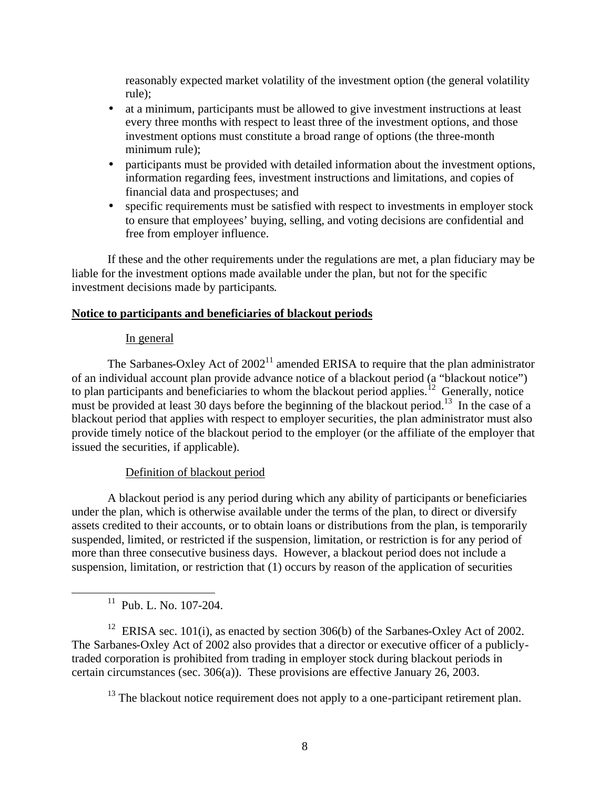reasonably expected market volatility of the investment option (the general volatility rule);

- at a minimum, participants must be allowed to give investment instructions at least every three months with respect to least three of the investment options, and those investment options must constitute a broad range of options (the three-month minimum rule);
- participants must be provided with detailed information about the investment options, information regarding fees, investment instructions and limitations, and copies of financial data and prospectuses; and
- specific requirements must be satisfied with respect to investments in employer stock to ensure that employees' buying, selling, and voting decisions are confidential and free from employer influence.

If these and the other requirements under the regulations are met, a plan fiduciary may be liable for the investment options made available under the plan, but not for the specific investment decisions made by participants.

### **Notice to participants and beneficiaries of blackout periods**

### In general

The Sarbanes-Oxley Act of  $2002<sup>11</sup>$  amended ERISA to require that the plan administrator of an individual account plan provide advance notice of a blackout period (a "blackout notice") to plan participants and beneficiaries to whom the blackout period applies.<sup>12</sup> Generally, notice must be provided at least 30 days before the beginning of the blackout period.<sup>13</sup> In the case of a blackout period that applies with respect to employer securities, the plan administrator must also provide timely notice of the blackout period to the employer (or the affiliate of the employer that issued the securities, if applicable).

## Definition of blackout period

A blackout period is any period during which any ability of participants or beneficiaries under the plan, which is otherwise available under the terms of the plan, to direct or diversify assets credited to their accounts, or to obtain loans or distributions from the plan, is temporarily suspended, limited, or restricted if the suspension, limitation, or restriction is for any period of more than three consecutive business days. However, a blackout period does not include a suspension, limitation, or restriction that (1) occurs by reason of the application of securities

<sup>11</sup> Pub. L. No. 107-204.

 $\overline{a}$ 

<sup>12</sup> ERISA sec. 101(i), as enacted by section 306(b) of the Sarbanes-Oxley Act of 2002. The Sarbanes-Oxley Act of 2002 also provides that a director or executive officer of a publiclytraded corporation is prohibited from trading in employer stock during blackout periods in certain circumstances (sec. 306(a)). These provisions are effective January 26, 2003.

 $13$  The blackout notice requirement does not apply to a one-participant retirement plan.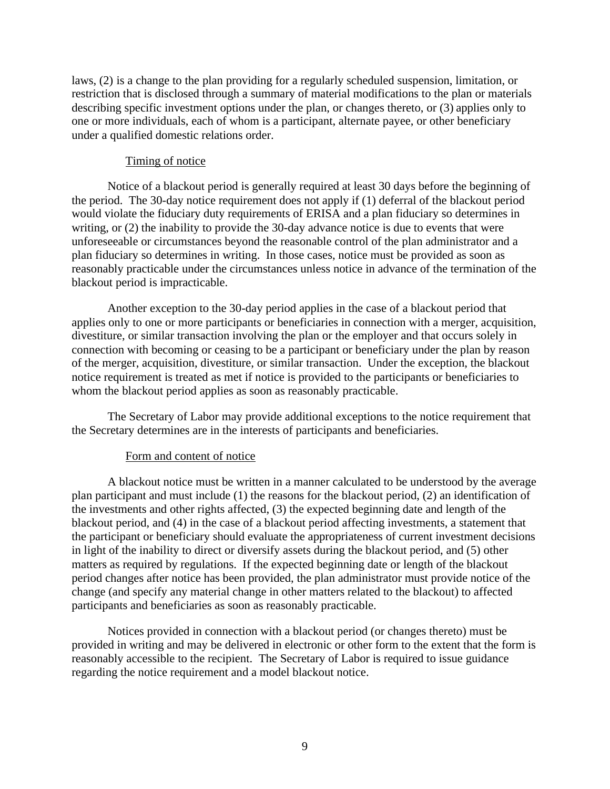laws, (2) is a change to the plan providing for a regularly scheduled suspension, limitation, or restriction that is disclosed through a summary of material modifications to the plan or materials describing specific investment options under the plan, or changes thereto, or (3) applies only to one or more individuals, each of whom is a participant, alternate payee, or other beneficiary under a qualified domestic relations order.

### Timing of notice

Notice of a blackout period is generally required at least 30 days before the beginning of the period. The 30-day notice requirement does not apply if (1) deferral of the blackout period would violate the fiduciary duty requirements of ERISA and a plan fiduciary so determines in writing, or (2) the inability to provide the 30-day advance notice is due to events that were unforeseeable or circumstances beyond the reasonable control of the plan administrator and a plan fiduciary so determines in writing. In those cases, notice must be provided as soon as reasonably practicable under the circumstances unless notice in advance of the termination of the blackout period is impracticable.

Another exception to the 30-day period applies in the case of a blackout period that applies only to one or more participants or beneficiaries in connection with a merger, acquisition, divestiture, or similar transaction involving the plan or the employer and that occurs solely in connection with becoming or ceasing to be a participant or beneficiary under the plan by reason of the merger, acquisition, divestiture, or similar transaction. Under the exception, the blackout notice requirement is treated as met if notice is provided to the participants or beneficiaries to whom the blackout period applies as soon as reasonably practicable.

The Secretary of Labor may provide additional exceptions to the notice requirement that the Secretary determines are in the interests of participants and beneficiaries.

### Form and content of notice

A blackout notice must be written in a manner calculated to be understood by the average plan participant and must include (1) the reasons for the blackout period, (2) an identification of the investments and other rights affected, (3) the expected beginning date and length of the blackout period, and (4) in the case of a blackout period affecting investments, a statement that the participant or beneficiary should evaluate the appropriateness of current investment decisions in light of the inability to direct or diversify assets during the blackout period, and (5) other matters as required by regulations. If the expected beginning date or length of the blackout period changes after notice has been provided, the plan administrator must provide notice of the change (and specify any material change in other matters related to the blackout) to affected participants and beneficiaries as soon as reasonably practicable.

Notices provided in connection with a blackout period (or changes thereto) must be provided in writing and may be delivered in electronic or other form to the extent that the form is reasonably accessible to the recipient. The Secretary of Labor is required to issue guidance regarding the notice requirement and a model blackout notice.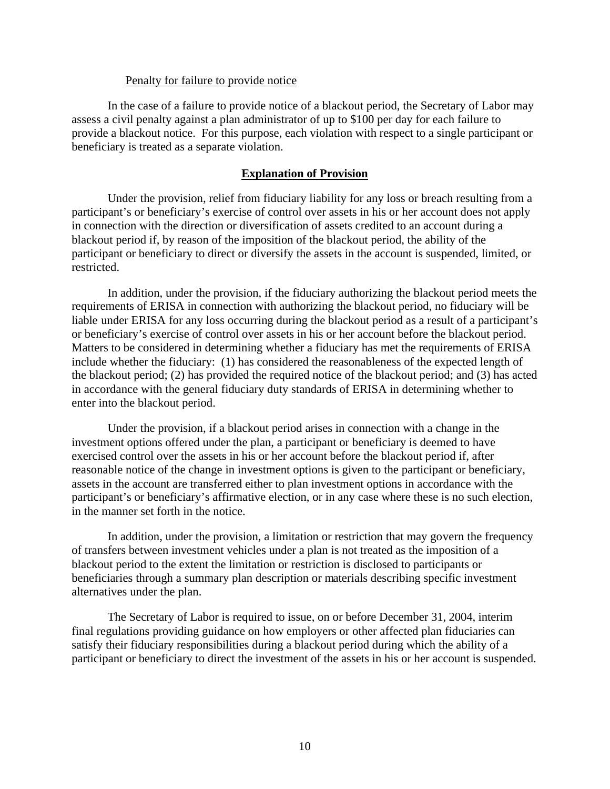### Penalty for failure to provide notice

In the case of a failure to provide notice of a blackout period, the Secretary of Labor may assess a civil penalty against a plan administrator of up to \$100 per day for each failure to provide a blackout notice. For this purpose, each violation with respect to a single participant or beneficiary is treated as a separate violation.

### **Explanation of Provision**

Under the provision, relief from fiduciary liability for any loss or breach resulting from a participant's or beneficiary's exercise of control over assets in his or her account does not apply in connection with the direction or diversification of assets credited to an account during a blackout period if, by reason of the imposition of the blackout period, the ability of the participant or beneficiary to direct or diversify the assets in the account is suspended, limited, or restricted.

In addition, under the provision, if the fiduciary authorizing the blackout period meets the requirements of ERISA in connection with authorizing the blackout period, no fiduciary will be liable under ERISA for any loss occurring during the blackout period as a result of a participant's or beneficiary's exercise of control over assets in his or her account before the blackout period. Matters to be considered in determining whether a fiduciary has met the requirements of ERISA include whether the fiduciary: (1) has considered the reasonableness of the expected length of the blackout period; (2) has provided the required notice of the blackout period; and (3) has acted in accordance with the general fiduciary duty standards of ERISA in determining whether to enter into the blackout period.

Under the provision, if a blackout period arises in connection with a change in the investment options offered under the plan, a participant or beneficiary is deemed to have exercised control over the assets in his or her account before the blackout period if, after reasonable notice of the change in investment options is given to the participant or beneficiary, assets in the account are transferred either to plan investment options in accordance with the participant's or beneficiary's affirmative election, or in any case where these is no such election, in the manner set forth in the notice.

In addition, under the provision, a limitation or restriction that may govern the frequency of transfers between investment vehicles under a plan is not treated as the imposition of a blackout period to the extent the limitation or restriction is disclosed to participants or beneficiaries through a summary plan description or materials describing specific investment alternatives under the plan.

The Secretary of Labor is required to issue, on or before December 31, 2004, interim final regulations providing guidance on how employers or other affected plan fiduciaries can satisfy their fiduciary responsibilities during a blackout period during which the ability of a participant or beneficiary to direct the investment of the assets in his or her account is suspended.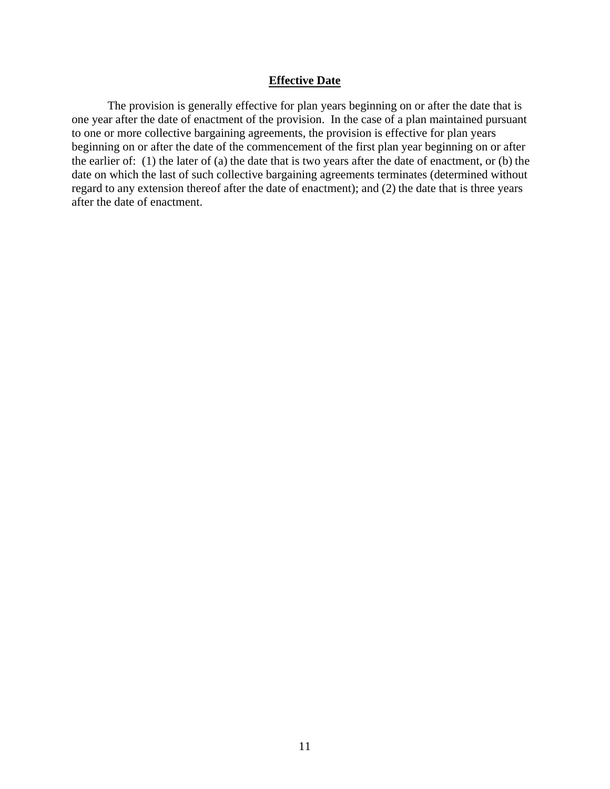### **Effective Date**

The provision is generally effective for plan years beginning on or after the date that is one year after the date of enactment of the provision. In the case of a plan maintained pursuant to one or more collective bargaining agreements, the provision is effective for plan years beginning on or after the date of the commencement of the first plan year beginning on or after the earlier of: (1) the later of (a) the date that is two years after the date of enactment, or (b) the date on which the last of such collective bargaining agreements terminates (determined without regard to any extension thereof after the date of enactment); and (2) the date that is three years after the date of enactment.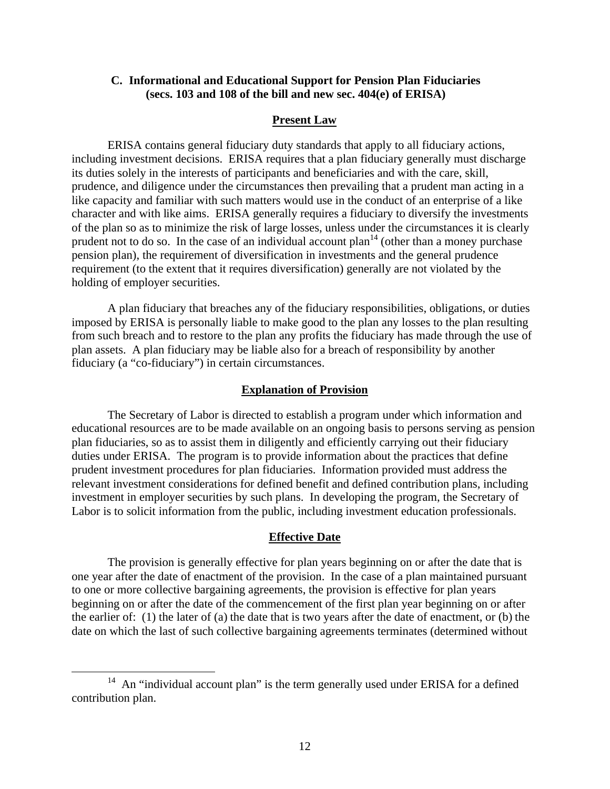### **C. Informational and Educational Support for Pension Plan Fiduciaries (secs. 103 and 108 of the bill and new sec. 404(e) of ERISA)**

### **Present Law**

ERISA contains general fiduciary duty standards that apply to all fiduciary actions, including investment decisions. ERISA requires that a plan fiduciary generally must discharge its duties solely in the interests of participants and beneficiaries and with the care, skill, prudence, and diligence under the circumstances then prevailing that a prudent man acting in a like capacity and familiar with such matters would use in the conduct of an enterprise of a like character and with like aims. ERISA generally requires a fiduciary to diversify the investments of the plan so as to minimize the risk of large losses, unless under the circumstances it is clearly prudent not to do so. In the case of an individual account  $plan<sup>14</sup>$  (other than a money purchase pension plan), the requirement of diversification in investments and the general prudence requirement (to the extent that it requires diversification) generally are not violated by the holding of employer securities.

A plan fiduciary that breaches any of the fiduciary responsibilities, obligations, or duties imposed by ERISA is personally liable to make good to the plan any losses to the plan resulting from such breach and to restore to the plan any profits the fiduciary has made through the use of plan assets. A plan fiduciary may be liable also for a breach of responsibility by another fiduciary (a "co-fiduciary") in certain circumstances.

#### **Explanation of Provision**

The Secretary of Labor is directed to establish a program under which information and educational resources are to be made available on an ongoing basis to persons serving as pension plan fiduciaries, so as to assist them in diligently and efficiently carrying out their fiduciary duties under ERISA. The program is to provide information about the practices that define prudent investment procedures for plan fiduciaries. Information provided must address the relevant investment considerations for defined benefit and defined contribution plans, including investment in employer securities by such plans. In developing the program, the Secretary of Labor is to solicit information from the public, including investment education professionals.

### **Effective Date**

The provision is generally effective for plan years beginning on or after the date that is one year after the date of enactment of the provision. In the case of a plan maintained pursuant to one or more collective bargaining agreements, the provision is effective for plan years beginning on or after the date of the commencement of the first plan year beginning on or after the earlier of: (1) the later of (a) the date that is two years after the date of enactment, or (b) the date on which the last of such collective bargaining agreements terminates (determined without

<sup>&</sup>lt;sup>14</sup> An "individual account plan" is the term generally used under ERISA for a defined contribution plan.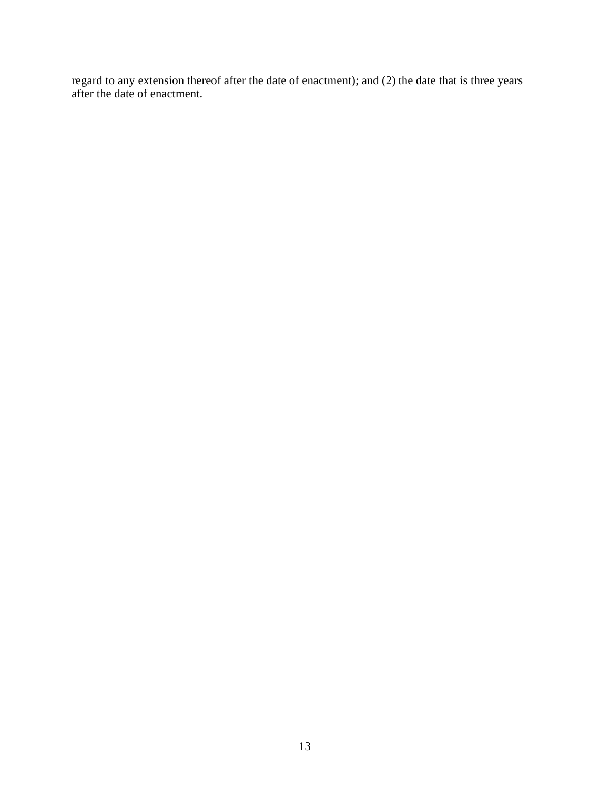regard to any extension thereof after the date of enactment); and (2) the date that is three years after the date of enactment.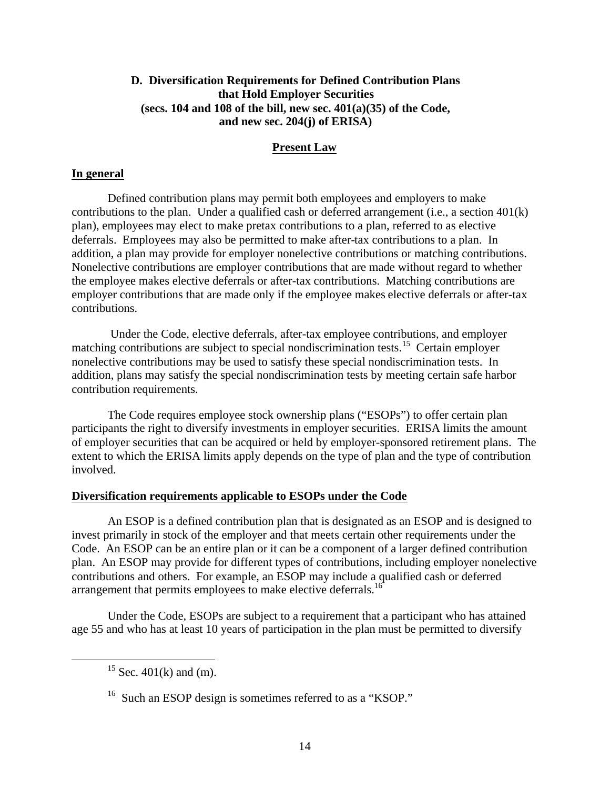## **D. Diversification Requirements for Defined Contribution Plans that Hold Employer Securities (secs. 104 and 108 of the bill, new sec. 401(a)(35) of the Code, and new sec. 204(j) of ERISA)**

## **Present Law**

## **In general**

Defined contribution plans may permit both employees and employers to make contributions to the plan. Under a qualified cash or deferred arrangement (i.e., a section 401(k) plan), employees may elect to make pretax contributions to a plan, referred to as elective deferrals. Employees may also be permitted to make after-tax contributions to a plan. In addition, a plan may provide for employer nonelective contributions or matching contributions. Nonelective contributions are employer contributions that are made without regard to whether the employee makes elective deferrals or after-tax contributions. Matching contributions are employer contributions that are made only if the employee makes elective deferrals or after-tax contributions.

 Under the Code, elective deferrals, after-tax employee contributions, and employer matching contributions are subject to special nondiscrimination tests.<sup>15</sup> Certain employer nonelective contributions may be used to satisfy these special nondiscrimination tests. In addition, plans may satisfy the special nondiscrimination tests by meeting certain safe harbor contribution requirements.

The Code requires employee stock ownership plans ("ESOPs") to offer certain plan participants the right to diversify investments in employer securities. ERISA limits the amount of employer securities that can be acquired or held by employer-sponsored retirement plans. The extent to which the ERISA limits apply depends on the type of plan and the type of contribution involved.

### **Diversification requirements applicable to ESOPs under the Code**

An ESOP is a defined contribution plan that is designated as an ESOP and is designed to invest primarily in stock of the employer and that meets certain other requirements under the Code. An ESOP can be an entire plan or it can be a component of a larger defined contribution plan. An ESOP may provide for different types of contributions, including employer nonelective contributions and others. For example, an ESOP may include a qualified cash or deferred arrangement that permits employees to make elective deferrals.<sup>16</sup>

Under the Code, ESOPs are subject to a requirement that a participant who has attained age 55 and who has at least 10 years of participation in the plan must be permitted to diversify

<sup>&</sup>lt;sup>15</sup> Sec. 401(k) and (m).

<sup>&</sup>lt;sup>16</sup> Such an ESOP design is sometimes referred to as a "KSOP."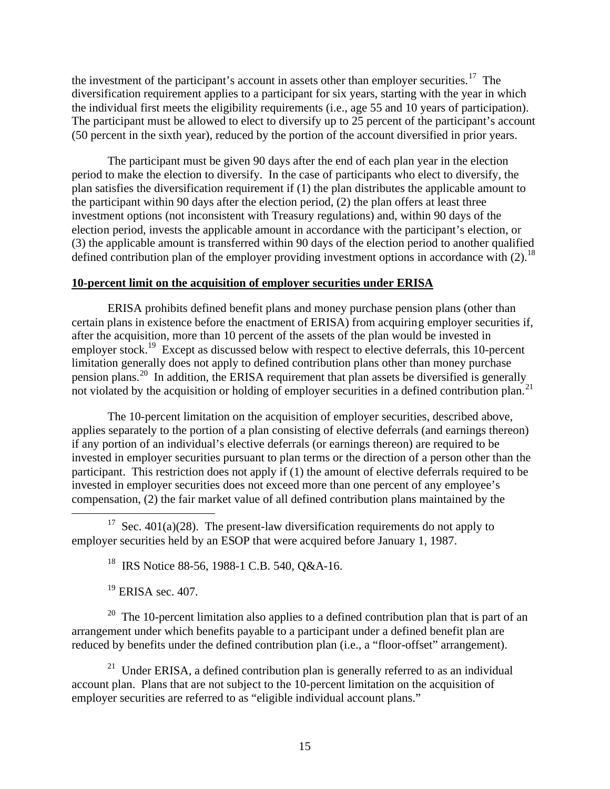the investment of the participant's account in assets other than employer securities.<sup>17</sup> The diversification requirement applies to a participant for six years, starting with the year in which the individual first meets the eligibility requirements (i.e., age 55 and 10 years of participation). The participant must be allowed to elect to diversify up to 25 percent of the participant's account (50 percent in the sixth year), reduced by the portion of the account diversified in prior years.

The participant must be given 90 days after the end of each plan year in the election period to make the election to diversify. In the case of participants who elect to diversify, the plan satisfies the diversification requirement if (1) the plan distributes the applicable amount to the participant within 90 days after the election period, (2) the plan offers at least three investment options (not inconsistent with Treasury regulations) and, within 90 days of the election period, invests the applicable amount in accordance with the participant's election, or (3) the applicable amount is transferred within 90 days of the election period to another qualified defined contribution plan of the employer providing investment options in accordance with  $(2)$ .<sup>18</sup>

### **10-percent limit on the acquisition of employer securities under ERISA**

ERISA prohibits defined benefit plans and money purchase pension plans (other than certain plans in existence before the enactment of ERISA) from acquiring employer securities if, after the acquisition, more than 10 percent of the assets of the plan would be invested in employer stock.<sup>19</sup> Except as discussed below with respect to elective deferrals, this 10-percent limitation generally does not apply to defined contribution plans other than money purchase pension plans.<sup>20</sup> In addition, the ERISA requirement that plan assets be diversified is generally not violated by the acquisition or holding of employer securities in a defined contribution plan.<sup>21</sup>

The 10-percent limitation on the acquisition of employer securities, described above, applies separately to the portion of a plan consisting of elective deferrals (and earnings thereon) if any portion of an individual's elective deferrals (or earnings thereon) are required to be invested in employer securities pursuant to plan terms or the direction of a person other than the participant. This restriction does not apply if (1) the amount of elective deferrals required to be invested in employer securities does not exceed more than one percent of any employee's compensation, (2) the fair market value of all defined contribution plans maintained by the

<sup>17</sup> Sec. 401(a)(28). The present-law diversification requirements do not apply to employer securities held by an ESOP that were acquired before January 1, 1987.

<sup>18</sup> IRS Notice 88-56, 1988-1 C.B. 540, Q&A-16.

 $19$  ERISA sec. 407.

 $\overline{a}$ 

<sup>20</sup> The 10-percent limitation also applies to a defined contribution plan that is part of an arrangement under which benefits payable to a participant under a defined benefit plan are reduced by benefits under the defined contribution plan (i.e., a "floor-offset" arrangement).

<sup>21</sup> Under ERISA, a defined contribution plan is generally referred to as an individual account plan. Plans that are not subject to the 10-percent limitation on the acquisition of employer securities are referred to as "eligible individual account plans."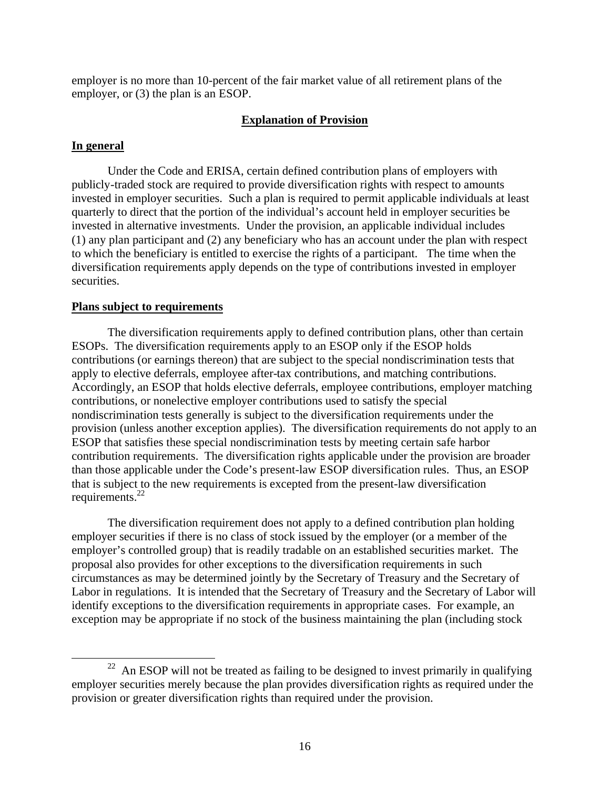employer is no more than 10-percent of the fair market value of all retirement plans of the employer, or (3) the plan is an ESOP.

### **Explanation of Provision**

#### **In general**

 $\overline{a}$ 

Under the Code and ERISA, certain defined contribution plans of employers with publicly-traded stock are required to provide diversification rights with respect to amounts invested in employer securities. Such a plan is required to permit applicable individuals at least quarterly to direct that the portion of the individual's account held in employer securities be invested in alternative investments. Under the provision, an applicable individual includes (1) any plan participant and (2) any beneficiary who has an account under the plan with respect to which the beneficiary is entitled to exercise the rights of a participant. The time when the diversification requirements apply depends on the type of contributions invested in employer securities.

### **Plans subject to requirements**

The diversification requirements apply to defined contribution plans, other than certain ESOPs. The diversification requirements apply to an ESOP only if the ESOP holds contributions (or earnings thereon) that are subject to the special nondiscrimination tests that apply to elective deferrals, employee after-tax contributions, and matching contributions. Accordingly, an ESOP that holds elective deferrals, employee contributions, employer matching contributions, or nonelective employer contributions used to satisfy the special nondiscrimination tests generally is subject to the diversification requirements under the provision (unless another exception applies). The diversification requirements do not apply to an ESOP that satisfies these special nondiscrimination tests by meeting certain safe harbor contribution requirements. The diversification rights applicable under the provision are broader than those applicable under the Code's present-law ESOP diversification rules. Thus, an ESOP that is subject to the new requirements is excepted from the present-law diversification requirements.<sup>22</sup>

The diversification requirement does not apply to a defined contribution plan holding employer securities if there is no class of stock issued by the employer (or a member of the employer's controlled group) that is readily tradable on an established securities market. The proposal also provides for other exceptions to the diversification requirements in such circumstances as may be determined jointly by the Secretary of Treasury and the Secretary of Labor in regulations. It is intended that the Secretary of Treasury and the Secretary of Labor will identify exceptions to the diversification requirements in appropriate cases. For example, an exception may be appropriate if no stock of the business maintaining the plan (including stock

 $22$  An ESOP will not be treated as failing to be designed to invest primarily in qualifying employer securities merely because the plan provides diversification rights as required under the provision or greater diversification rights than required under the provision.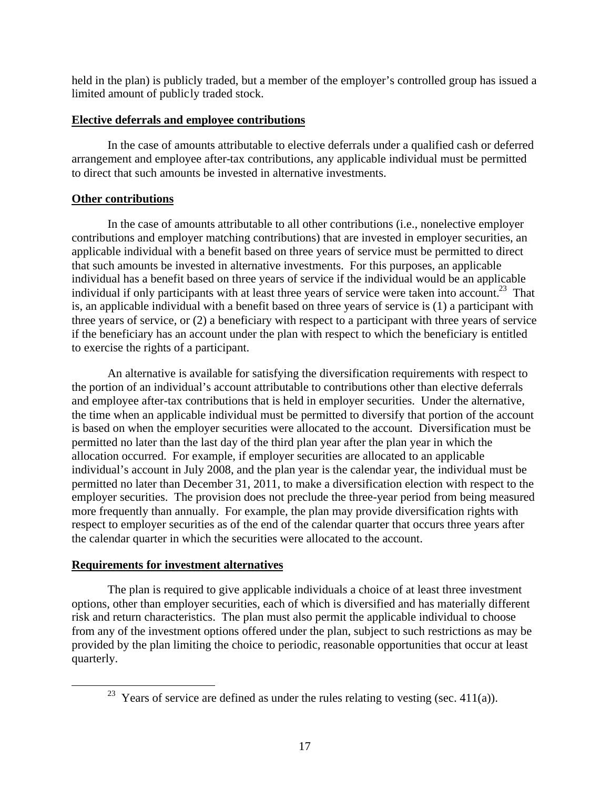held in the plan) is publicly traded, but a member of the employer's controlled group has issued a limited amount of publicly traded stock.

## **Elective deferrals and employee contributions**

In the case of amounts attributable to elective deferrals under a qualified cash or deferred arrangement and employee after-tax contributions, any applicable individual must be permitted to direct that such amounts be invested in alternative investments.

## **Other contributions**

In the case of amounts attributable to all other contributions (i.e., nonelective employer contributions and employer matching contributions) that are invested in employer securities, an applicable individual with a benefit based on three years of service must be permitted to direct that such amounts be invested in alternative investments. For this purposes, an applicable individual has a benefit based on three years of service if the individual would be an applicable individual if only participants with at least three years of service were taken into account.<sup>23</sup> That is, an applicable individual with a benefit based on three years of service is (1) a participant with three years of service, or (2) a beneficiary with respect to a participant with three years of service if the beneficiary has an account under the plan with respect to which the beneficiary is entitled to exercise the rights of a participant.

An alternative is available for satisfying the diversification requirements with respect to the portion of an individual's account attributable to contributions other than elective deferrals and employee after-tax contributions that is held in employer securities. Under the alternative, the time when an applicable individual must be permitted to diversify that portion of the account is based on when the employer securities were allocated to the account. Diversification must be permitted no later than the last day of the third plan year after the plan year in which the allocation occurred. For example, if employer securities are allocated to an applicable individual's account in July 2008, and the plan year is the calendar year, the individual must be permitted no later than December 31, 2011, to make a diversification election with respect to the employer securities. The provision does not preclude the three-year period from being measured more frequently than annually. For example, the plan may provide diversification rights with respect to employer securities as of the end of the calendar quarter that occurs three years after the calendar quarter in which the securities were allocated to the account.

## **Requirements for investment alternatives**

 $\overline{a}$ 

The plan is required to give applicable individuals a choice of at least three investment options, other than employer securities, each of which is diversified and has materially different risk and return characteristics. The plan must also permit the applicable individual to choose from any of the investment options offered under the plan, subject to such restrictions as may be provided by the plan limiting the choice to periodic, reasonable opportunities that occur at least quarterly.

<sup>&</sup>lt;sup>23</sup> Years of service are defined as under the rules relating to vesting (sec. 411(a)).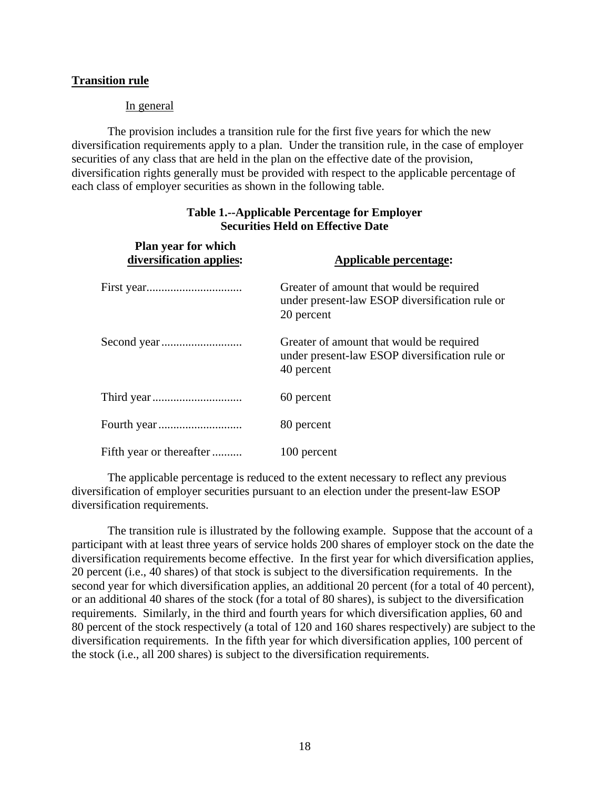## **Transition rule**

## In general

The provision includes a transition rule for the first five years for which the new diversification requirements apply to a plan. Under the transition rule, in the case of employer securities of any class that are held in the plan on the effective date of the provision, diversification rights generally must be provided with respect to the applicable percentage of each class of employer securities as shown in the following table.

| Plan year for which<br>diversification applies: | Applicable percentage:                                                                                   |
|-------------------------------------------------|----------------------------------------------------------------------------------------------------------|
|                                                 | Greater of amount that would be required<br>under present-law ESOP diversification rule or<br>20 percent |
|                                                 | Greater of amount that would be required<br>under present-law ESOP diversification rule or<br>40 percent |
|                                                 | 60 percent                                                                                               |
|                                                 | 80 percent                                                                                               |
| Fifth year or thereafter                        | 100 percent                                                                                              |

## **Table 1.--Applicable Percentage for Employer Securities Held on Effective Date**

The applicable percentage is reduced to the extent necessary to reflect any previous diversification of employer securities pursuant to an election under the present-law ESOP diversification requirements.

The transition rule is illustrated by the following example. Suppose that the account of a participant with at least three years of service holds 200 shares of employer stock on the date the diversification requirements become effective. In the first year for which diversification applies, 20 percent (i.e., 40 shares) of that stock is subject to the diversification requirements. In the second year for which diversification applies, an additional 20 percent (for a total of 40 percent), or an additional 40 shares of the stock (for a total of 80 shares), is subject to the diversification requirements. Similarly, in the third and fourth years for which diversification applies, 60 and 80 percent of the stock respectively (a total of 120 and 160 shares respectively) are subject to the diversification requirements. In the fifth year for which diversification applies, 100 percent of the stock (i.e., all 200 shares) is subject to the diversification requirements.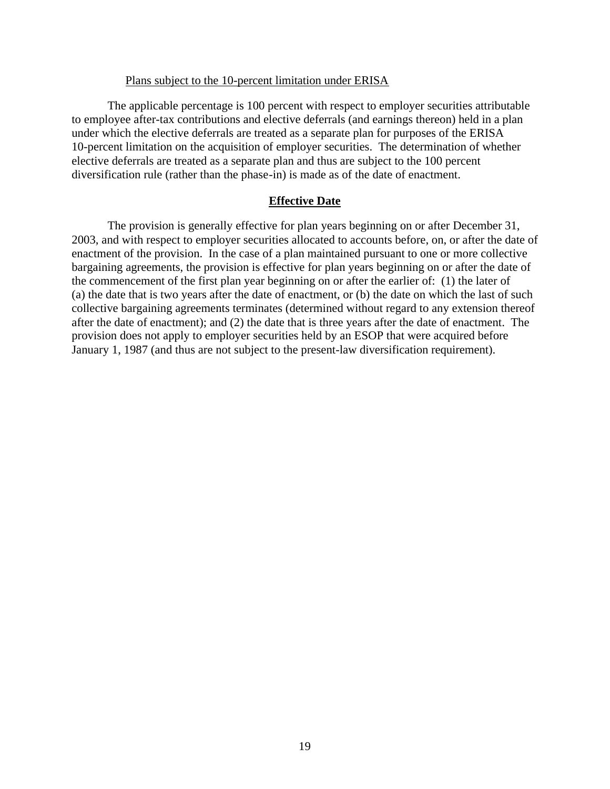### Plans subject to the 10-percent limitation under ERISA

The applicable percentage is 100 percent with respect to employer securities attributable to employee after-tax contributions and elective deferrals (and earnings thereon) held in a plan under which the elective deferrals are treated as a separate plan for purposes of the ERISA 10-percent limitation on the acquisition of employer securities. The determination of whether elective deferrals are treated as a separate plan and thus are subject to the 100 percent diversification rule (rather than the phase-in) is made as of the date of enactment.

### **Effective Date**

The provision is generally effective for plan years beginning on or after December 31, 2003, and with respect to employer securities allocated to accounts before, on, or after the date of enactment of the provision. In the case of a plan maintained pursuant to one or more collective bargaining agreements, the provision is effective for plan years beginning on or after the date of the commencement of the first plan year beginning on or after the earlier of: (1) the later of (a) the date that is two years after the date of enactment, or (b) the date on which the last of such collective bargaining agreements terminates (determined without regard to any extension thereof after the date of enactment); and (2) the date that is three years after the date of enactment. The provision does not apply to employer securities held by an ESOP that were acquired before January 1, 1987 (and thus are not subject to the present-law diversification requirement).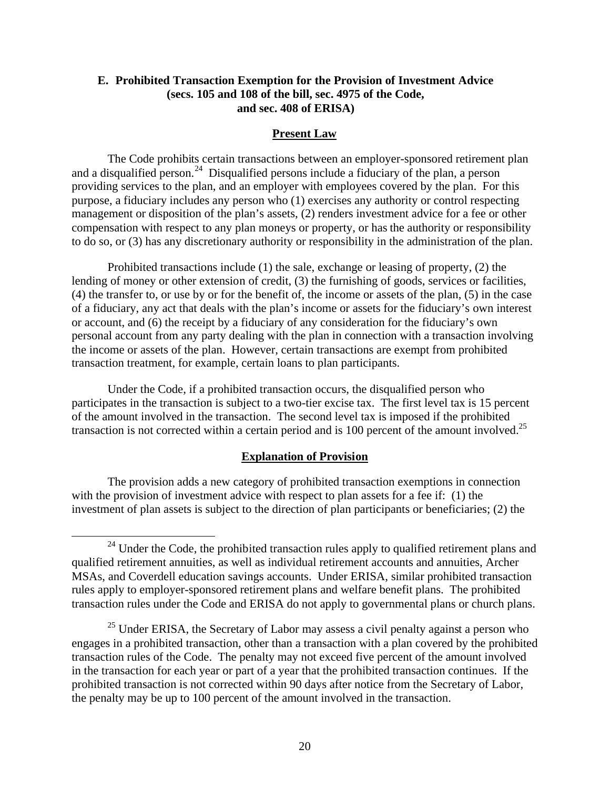## **E. Prohibited Transaction Exemption for the Provision of Investment Advice (secs. 105 and 108 of the bill, sec. 4975 of the Code, and sec. 408 of ERISA)**

### **Present Law**

The Code prohibits certain transactions between an employer-sponsored retirement plan and a disqualified person.<sup>24</sup> Disqualified persons include a fiduciary of the plan, a person providing services to the plan, and an employer with employees covered by the plan. For this purpose, a fiduciary includes any person who (1) exercises any authority or control respecting management or disposition of the plan's assets, (2) renders investment advice for a fee or other compensation with respect to any plan moneys or property, or has the authority or responsibility to do so, or (3) has any discretionary authority or responsibility in the administration of the plan.

Prohibited transactions include (1) the sale, exchange or leasing of property, (2) the lending of money or other extension of credit, (3) the furnishing of goods, services or facilities, (4) the transfer to, or use by or for the benefit of, the income or assets of the plan, (5) in the case of a fiduciary, any act that deals with the plan's income or assets for the fiduciary's own interest or account, and (6) the receipt by a fiduciary of any consideration for the fiduciary's own personal account from any party dealing with the plan in connection with a transaction involving the income or assets of the plan. However, certain transactions are exempt from prohibited transaction treatment, for example, certain loans to plan participants.

Under the Code, if a prohibited transaction occurs, the disqualified person who participates in the transaction is subject to a two-tier excise tax. The first level tax is 15 percent of the amount involved in the transaction. The second level tax is imposed if the prohibited transaction is not corrected within a certain period and is 100 percent of the amount involved.<sup>25</sup>

### **Explanation of Provision**

The provision adds a new category of prohibited transaction exemptions in connection with the provision of investment advice with respect to plan assets for a fee if: (1) the investment of plan assets is subject to the direction of plan participants or beneficiaries; (2) the

 $24$  Under the Code, the prohibited transaction rules apply to qualified retirement plans and qualified retirement annuities, as well as individual retirement accounts and annuities, Archer MSAs, and Coverdell education savings accounts. Under ERISA, similar prohibited transaction rules apply to employer-sponsored retirement plans and welfare benefit plans. The prohibited transaction rules under the Code and ERISA do not apply to governmental plans or church plans.

 $25$  Under ERISA, the Secretary of Labor may assess a civil penalty against a person who engages in a prohibited transaction, other than a transaction with a plan covered by the prohibited transaction rules of the Code. The penalty may not exceed five percent of the amount involved in the transaction for each year or part of a year that the prohibited transaction continues. If the prohibited transaction is not corrected within 90 days after notice from the Secretary of Labor, the penalty may be up to 100 percent of the amount involved in the transaction.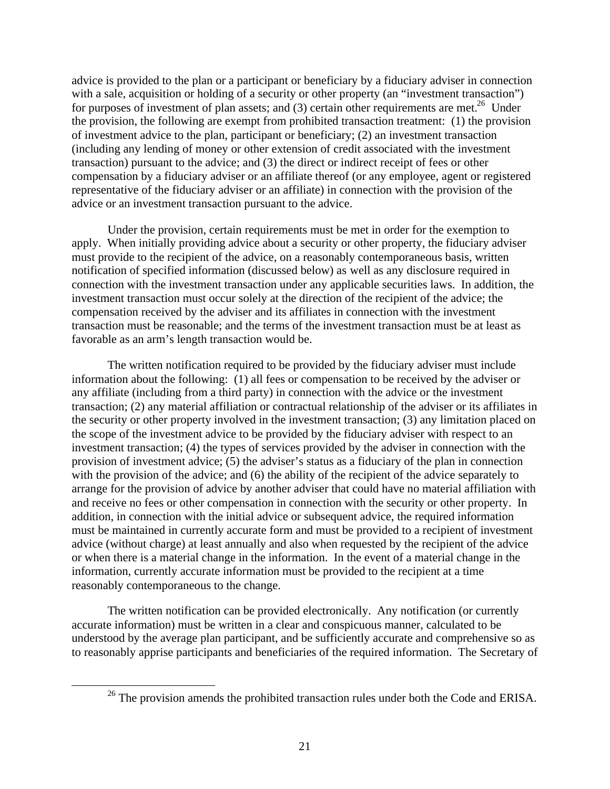advice is provided to the plan or a participant or beneficiary by a fiduciary adviser in connection with a sale, acquisition or holding of a security or other property (an "investment transaction") for purposes of investment of plan assets; and (3) certain other requirements are met.<sup>26</sup> Under the provision, the following are exempt from prohibited transaction treatment: (1) the provision of investment advice to the plan, participant or beneficiary; (2) an investment transaction (including any lending of money or other extension of credit associated with the investment transaction) pursuant to the advice; and (3) the direct or indirect receipt of fees or other compensation by a fiduciary adviser or an affiliate thereof (or any employee, agent or registered representative of the fiduciary adviser or an affiliate) in connection with the provision of the advice or an investment transaction pursuant to the advice.

Under the provision, certain requirements must be met in order for the exemption to apply. When initially providing advice about a security or other property, the fiduciary adviser must provide to the recipient of the advice, on a reasonably contemporaneous basis, written notification of specified information (discussed below) as well as any disclosure required in connection with the investment transaction under any applicable securities laws. In addition, the investment transaction must occur solely at the direction of the recipient of the advice; the compensation received by the adviser and its affiliates in connection with the investment transaction must be reasonable; and the terms of the investment transaction must be at least as favorable as an arm's length transaction would be.

The written notification required to be provided by the fiduciary adviser must include information about the following: (1) all fees or compensation to be received by the adviser or any affiliate (including from a third party) in connection with the advice or the investment transaction; (2) any material affiliation or contractual relationship of the adviser or its affiliates in the security or other property involved in the investment transaction; (3) any limitation placed on the scope of the investment advice to be provided by the fiduciary adviser with respect to an investment transaction; (4) the types of services provided by the adviser in connection with the provision of investment advice; (5) the adviser's status as a fiduciary of the plan in connection with the provision of the advice; and (6) the ability of the recipient of the advice separately to arrange for the provision of advice by another adviser that could have no material affiliation with and receive no fees or other compensation in connection with the security or other property. In addition, in connection with the initial advice or subsequent advice, the required information must be maintained in currently accurate form and must be provided to a recipient of investment advice (without charge) at least annually and also when requested by the recipient of the advice or when there is a material change in the information. In the event of a material change in the information, currently accurate information must be provided to the recipient at a time reasonably contemporaneous to the change.

The written notification can be provided electronically. Any notification (or currently accurate information) must be written in a clear and conspicuous manner, calculated to be understood by the average plan participant, and be sufficiently accurate and comprehensive so as to reasonably apprise participants and beneficiaries of the required information. The Secretary of

 $26$  The provision amends the prohibited transaction rules under both the Code and ERISA.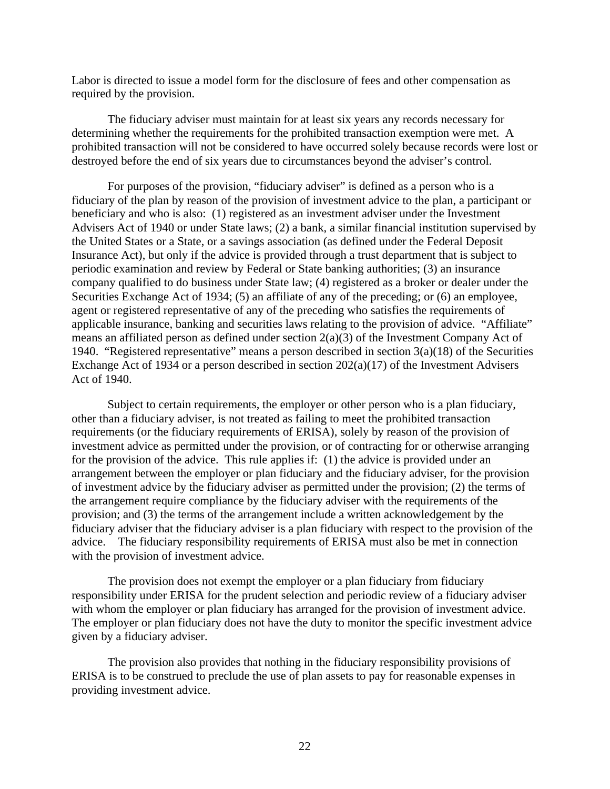Labor is directed to issue a model form for the disclosure of fees and other compensation as required by the provision.

The fiduciary adviser must maintain for at least six years any records necessary for determining whether the requirements for the prohibited transaction exemption were met. A prohibited transaction will not be considered to have occurred solely because records were lost or destroyed before the end of six years due to circumstances beyond the adviser's control.

For purposes of the provision, "fiduciary adviser" is defined as a person who is a fiduciary of the plan by reason of the provision of investment advice to the plan, a participant or beneficiary and who is also: (1) registered as an investment adviser under the Investment Advisers Act of 1940 or under State laws; (2) a bank, a similar financial institution supervised by the United States or a State, or a savings association (as defined under the Federal Deposit Insurance Act), but only if the advice is provided through a trust department that is subject to periodic examination and review by Federal or State banking authorities; (3) an insurance company qualified to do business under State law; (4) registered as a broker or dealer under the Securities Exchange Act of 1934; (5) an affiliate of any of the preceding; or (6) an employee, agent or registered representative of any of the preceding who satisfies the requirements of applicable insurance, banking and securities laws relating to the provision of advice. "Affiliate" means an affiliated person as defined under section 2(a)(3) of the Investment Company Act of 1940. "Registered representative" means a person described in section  $3(a)(18)$  of the Securities Exchange Act of 1934 or a person described in section 202(a)(17) of the Investment Advisers Act of 1940.

Subject to certain requirements, the employer or other person who is a plan fiduciary, other than a fiduciary adviser, is not treated as failing to meet the prohibited transaction requirements (or the fiduciary requirements of ERISA), solely by reason of the provision of investment advice as permitted under the provision, or of contracting for or otherwise arranging for the provision of the advice. This rule applies if: (1) the advice is provided under an arrangement between the employer or plan fiduciary and the fiduciary adviser, for the provision of investment advice by the fiduciary adviser as permitted under the provision; (2) the terms of the arrangement require compliance by the fiduciary adviser with the requirements of the provision; and (3) the terms of the arrangement include a written acknowledgement by the fiduciary adviser that the fiduciary adviser is a plan fiduciary with respect to the provision of the advice. The fiduciary responsibility requirements of ERISA must also be met in connection with the provision of investment advice.

The provision does not exempt the employer or a plan fiduciary from fiduciary responsibility under ERISA for the prudent selection and periodic review of a fiduciary adviser with whom the employer or plan fiduciary has arranged for the provision of investment advice. The employer or plan fiduciary does not have the duty to monitor the specific investment advice given by a fiduciary adviser.

The provision also provides that nothing in the fiduciary responsibility provisions of ERISA is to be construed to preclude the use of plan assets to pay for reasonable expenses in providing investment advice.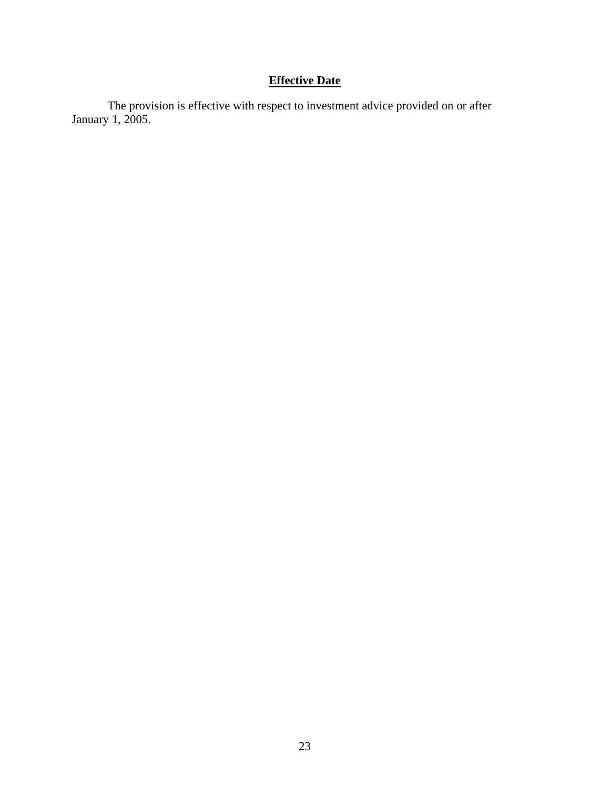# **Effective Date**

The provision is effective with respect to investment advice provided on or after January 1, 2005.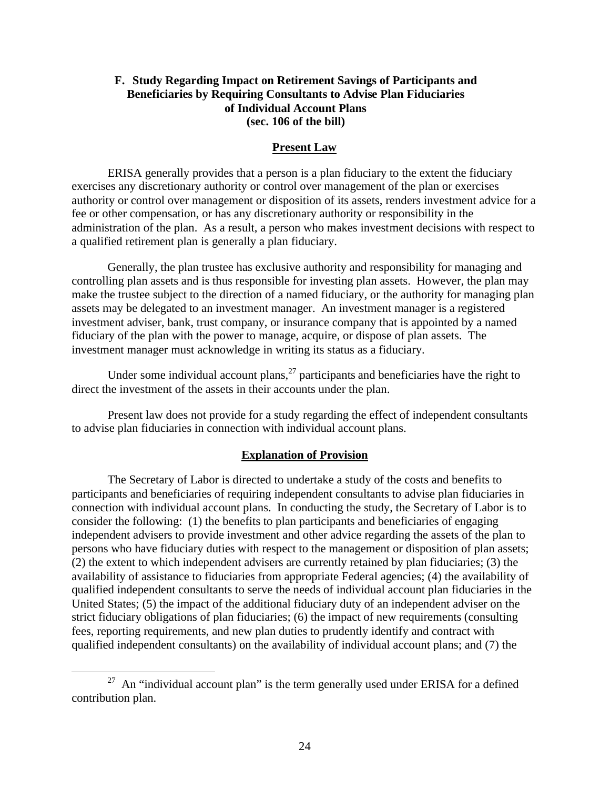## **F. Study Regarding Impact on Retirement Savings of Participants and Beneficiaries by Requiring Consultants to Advise Plan Fiduciaries of Individual Account Plans (sec. 106 of the bill)**

### **Present Law**

ERISA generally provides that a person is a plan fiduciary to the extent the fiduciary exercises any discretionary authority or control over management of the plan or exercises authority or control over management or disposition of its assets, renders investment advice for a fee or other compensation, or has any discretionary authority or responsibility in the administration of the plan. As a result, a person who makes investment decisions with respect to a qualified retirement plan is generally a plan fiduciary.

Generally, the plan trustee has exclusive authority and responsibility for managing and controlling plan assets and is thus responsible for investing plan assets. However, the plan may make the trustee subject to the direction of a named fiduciary, or the authority for managing plan assets may be delegated to an investment manager. An investment manager is a registered investment adviser, bank, trust company, or insurance company that is appointed by a named fiduciary of the plan with the power to manage, acquire, or dispose of plan assets. The investment manager must acknowledge in writing its status as a fiduciary.

Under some individual account plans,  $^{27}$  participants and beneficiaries have the right to direct the investment of the assets in their accounts under the plan.

Present law does not provide for a study regarding the effect of independent consultants to advise plan fiduciaries in connection with individual account plans.

### **Explanation of Provision**

The Secretary of Labor is directed to undertake a study of the costs and benefits to participants and beneficiaries of requiring independent consultants to advise plan fiduciaries in connection with individual account plans. In conducting the study, the Secretary of Labor is to consider the following: (1) the benefits to plan participants and beneficiaries of engaging independent advisers to provide investment and other advice regarding the assets of the plan to persons who have fiduciary duties with respect to the management or disposition of plan assets; (2) the extent to which independent advisers are currently retained by plan fiduciaries; (3) the availability of assistance to fiduciaries from appropriate Federal agencies; (4) the availability of qualified independent consultants to serve the needs of individual account plan fiduciaries in the United States; (5) the impact of the additional fiduciary duty of an independent adviser on the strict fiduciary obligations of plan fiduciaries; (6) the impact of new requirements (consulting fees, reporting requirements, and new plan duties to prudently identify and contract with qualified independent consultants) on the availability of individual account plans; and (7) the

 $27$  An "individual account plan" is the term generally used under ERISA for a defined contribution plan.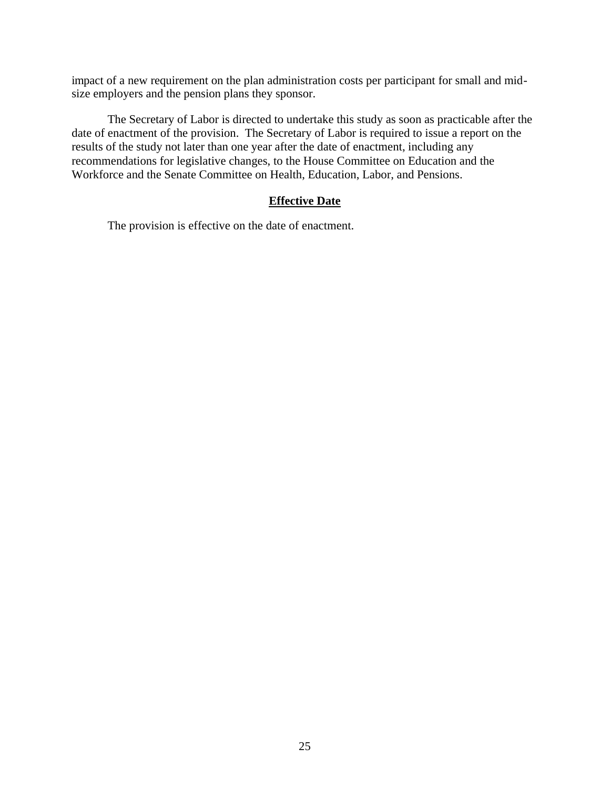impact of a new requirement on the plan administration costs per participant for small and midsize employers and the pension plans they sponsor.

The Secretary of Labor is directed to undertake this study as soon as practicable after the date of enactment of the provision. The Secretary of Labor is required to issue a report on the results of the study not later than one year after the date of enactment, including any recommendations for legislative changes, to the House Committee on Education and the Workforce and the Senate Committee on Health, Education, Labor, and Pensions.

## **Effective Date**

The provision is effective on the date of enactment.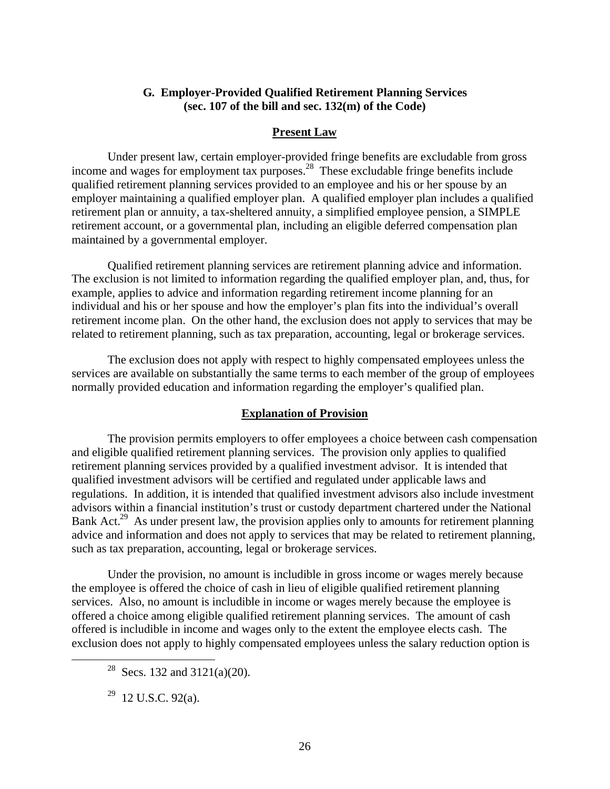## **G. Employer-Provided Qualified Retirement Planning Services (sec. 107 of the bill and sec. 132(m) of the Code)**

## **Present Law**

Under present law, certain employer-provided fringe benefits are excludable from gross income and wages for employment tax purposes.<sup>28</sup> These excludable fringe benefits include qualified retirement planning services provided to an employee and his or her spouse by an employer maintaining a qualified employer plan. A qualified employer plan includes a qualified retirement plan or annuity, a tax-sheltered annuity, a simplified employee pension, a SIMPLE retirement account, or a governmental plan, including an eligible deferred compensation plan maintained by a governmental employer.

Qualified retirement planning services are retirement planning advice and information. The exclusion is not limited to information regarding the qualified employer plan, and, thus, for example, applies to advice and information regarding retirement income planning for an individual and his or her spouse and how the employer's plan fits into the individual's overall retirement income plan. On the other hand, the exclusion does not apply to services that may be related to retirement planning, such as tax preparation, accounting, legal or brokerage services.

The exclusion does not apply with respect to highly compensated employees unless the services are available on substantially the same terms to each member of the group of employees normally provided education and information regarding the employer's qualified plan.

## **Explanation of Provision**

The provision permits employers to offer employees a choice between cash compensation and eligible qualified retirement planning services. The provision only applies to qualified retirement planning services provided by a qualified investment advisor. It is intended that qualified investment advisors will be certified and regulated under applicable laws and regulations. In addition, it is intended that qualified investment advisors also include investment advisors within a financial institution's trust or custody department chartered under the National Bank Act.<sup>29</sup> As under present law, the provision applies only to amounts for retirement planning advice and information and does not apply to services that may be related to retirement planning, such as tax preparation, accounting, legal or brokerage services.

Under the provision, no amount is includible in gross income or wages merely because the employee is offered the choice of cash in lieu of eligible qualified retirement planning services. Also, no amount is includible in income or wages merely because the employee is offered a choice among eligible qualified retirement planning services. The amount of cash offered is includible in income and wages only to the extent the employee elects cash. The exclusion does not apply to highly compensated employees unless the salary reduction option is

<sup>&</sup>lt;sup>28</sup> Secs. 132 and 3121(a)(20).

 $29$  12 U.S.C. 92(a).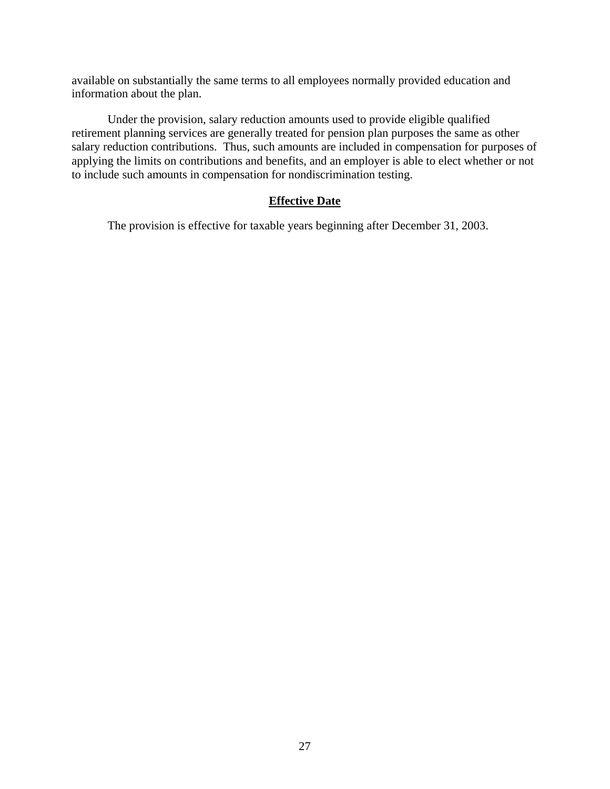available on substantially the same terms to all employees normally provided education and information about the plan.

Under the provision, salary reduction amounts used to provide eligible qualified retirement planning services are generally treated for pension plan purposes the same as other salary reduction contributions. Thus, such amounts are included in compensation for purposes of applying the limits on contributions and benefits, and an employer is able to elect whether or not to include such amounts in compensation for nondiscrimination testing.

## **Effective Date**

The provision is effective for taxable years beginning after December 31, 2003.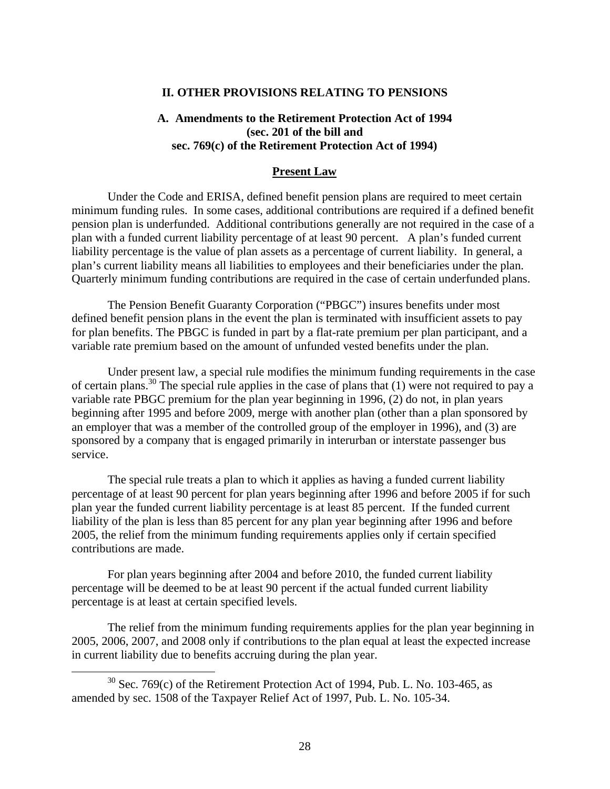### **II. OTHER PROVISIONS RELATING TO PENSIONS**

## **A. Amendments to the Retirement Protection Act of 1994 (sec. 201 of the bill and sec. 769(c) of the Retirement Protection Act of 1994)**

### **Present Law**

Under the Code and ERISA, defined benefit pension plans are required to meet certain minimum funding rules. In some cases, additional contributions are required if a defined benefit pension plan is underfunded. Additional contributions generally are not required in the case of a plan with a funded current liability percentage of at least 90 percent. A plan's funded current liability percentage is the value of plan assets as a percentage of current liability. In general, a plan's current liability means all liabilities to employees and their beneficiaries under the plan. Quarterly minimum funding contributions are required in the case of certain underfunded plans.

The Pension Benefit Guaranty Corporation ("PBGC") insures benefits under most defined benefit pension plans in the event the plan is terminated with insufficient assets to pay for plan benefits. The PBGC is funded in part by a flat-rate premium per plan participant, and a variable rate premium based on the amount of unfunded vested benefits under the plan.

Under present law, a special rule modifies the minimum funding requirements in the case of certain plans.<sup>30</sup> The special rule applies in the case of plans that (1) were not required to pay a variable rate PBGC premium for the plan year beginning in 1996, (2) do not, in plan years beginning after 1995 and before 2009, merge with another plan (other than a plan sponsored by an employer that was a member of the controlled group of the employer in 1996), and (3) are sponsored by a company that is engaged primarily in interurban or interstate passenger bus service.

The special rule treats a plan to which it applies as having a funded current liability percentage of at least 90 percent for plan years beginning after 1996 and before 2005 if for such plan year the funded current liability percentage is at least 85 percent. If the funded current liability of the plan is less than 85 percent for any plan year beginning after 1996 and before 2005, the relief from the minimum funding requirements applies only if certain specified contributions are made.

For plan years beginning after 2004 and before 2010, the funded current liability percentage will be deemed to be at least 90 percent if the actual funded current liability percentage is at least at certain specified levels.

The relief from the minimum funding requirements applies for the plan year beginning in 2005, 2006, 2007, and 2008 only if contributions to the plan equal at least the expected increase in current liability due to benefits accruing during the plan year.

 $30$  Sec. 769(c) of the Retirement Protection Act of 1994, Pub. L. No. 103-465, as amended by sec. 1508 of the Taxpayer Relief Act of 1997, Pub. L. No. 105-34.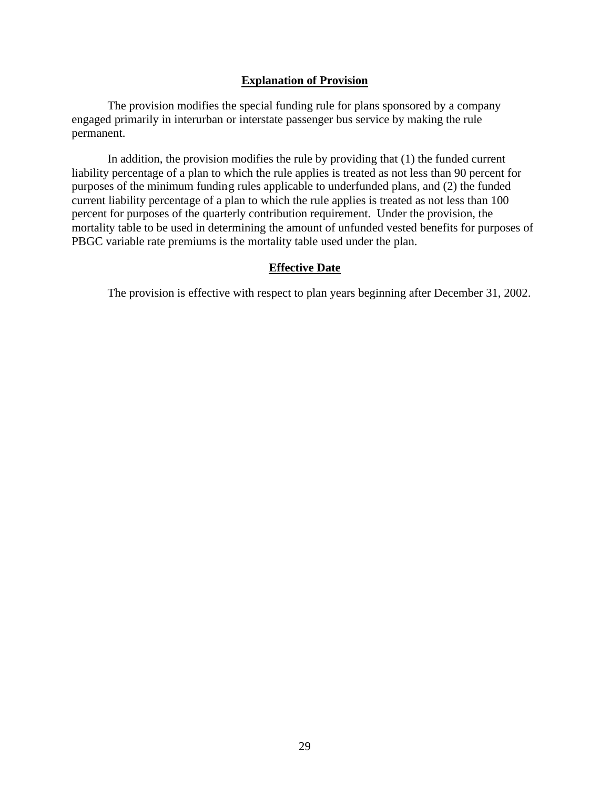### **Explanation of Provision**

The provision modifies the special funding rule for plans sponsored by a company engaged primarily in interurban or interstate passenger bus service by making the rule permanent.

In addition, the provision modifies the rule by providing that (1) the funded current liability percentage of a plan to which the rule applies is treated as not less than 90 percent for purposes of the minimum funding rules applicable to underfunded plans, and (2) the funded current liability percentage of a plan to which the rule applies is treated as not less than 100 percent for purposes of the quarterly contribution requirement. Under the provision, the mortality table to be used in determining the amount of unfunded vested benefits for purposes of PBGC variable rate premiums is the mortality table used under the plan.

### **Effective Date**

The provision is effective with respect to plan years beginning after December 31, 2002.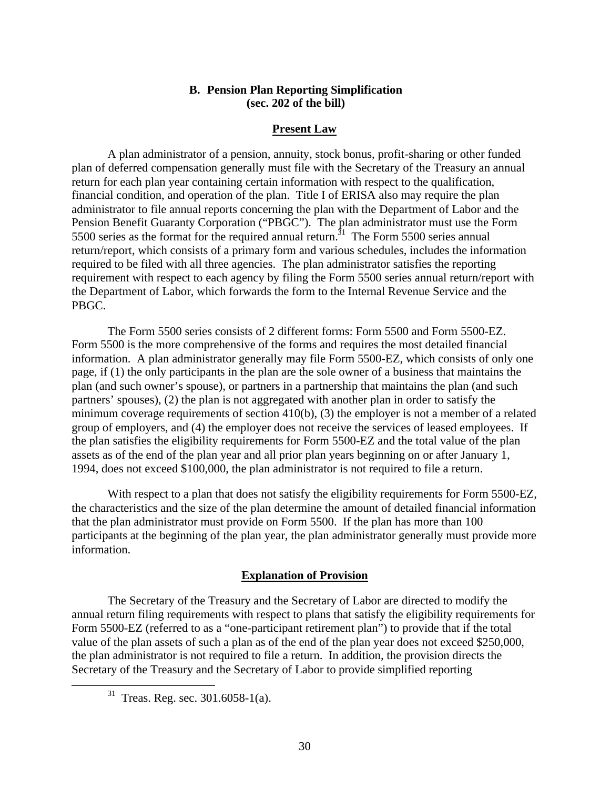### **B. Pension Plan Reporting Simplification (sec. 202 of the bill)**

### **Present Law**

A plan administrator of a pension, annuity, stock bonus, profit-sharing or other funded plan of deferred compensation generally must file with the Secretary of the Treasury an annual return for each plan year containing certain information with respect to the qualification, financial condition, and operation of the plan. Title I of ERISA also may require the plan administrator to file annual reports concerning the plan with the Department of Labor and the Pension Benefit Guaranty Corporation ("PBGC"). The plan administrator must use the Form 5500 series as the format for the required annual return.<sup>31</sup> The Form 5500 series annual return/report, which consists of a primary form and various schedules, includes the information required to be filed with all three agencies. The plan administrator satisfies the reporting requirement with respect to each agency by filing the Form 5500 series annual return/report with the Department of Labor, which forwards the form to the Internal Revenue Service and the PBGC.

The Form 5500 series consists of 2 different forms: Form 5500 and Form 5500-EZ. Form 5500 is the more comprehensive of the forms and requires the most detailed financial information. A plan administrator generally may file Form 5500-EZ, which consists of only one page, if (1) the only participants in the plan are the sole owner of a business that maintains the plan (and such owner's spouse), or partners in a partnership that maintains the plan (and such partners' spouses), (2) the plan is not aggregated with another plan in order to satisfy the minimum coverage requirements of section 410(b), (3) the employer is not a member of a related group of employers, and (4) the employer does not receive the services of leased employees. If the plan satisfies the eligibility requirements for Form 5500-EZ and the total value of the plan assets as of the end of the plan year and all prior plan years beginning on or after January 1, 1994, does not exceed \$100,000, the plan administrator is not required to file a return.

With respect to a plan that does not satisfy the eligibility requirements for Form 5500-EZ, the characteristics and the size of the plan determine the amount of detailed financial information that the plan administrator must provide on Form 5500. If the plan has more than 100 participants at the beginning of the plan year, the plan administrator generally must provide more information.

## **Explanation of Provision**

The Secretary of the Treasury and the Secretary of Labor are directed to modify the annual return filing requirements with respect to plans that satisfy the eligibility requirements for Form 5500-EZ (referred to as a "one-participant retirement plan") to provide that if the total value of the plan assets of such a plan as of the end of the plan year does not exceed \$250,000, the plan administrator is not required to file a return. In addition, the provision directs the Secretary of the Treasury and the Secretary of Labor to provide simplified reporting

<sup>31</sup> Treas. Reg. sec. 301.6058-1(a).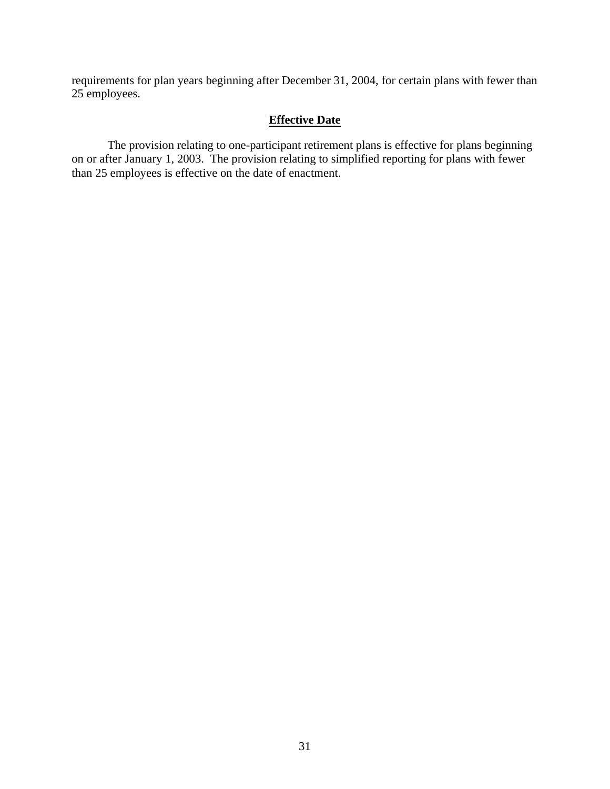requirements for plan years beginning after December 31, 2004, for certain plans with fewer than 25 employees.

## **Effective Date**

The provision relating to one-participant retirement plans is effective for plans beginning on or after January 1, 2003. The provision relating to simplified reporting for plans with fewer than 25 employees is effective on the date of enactment.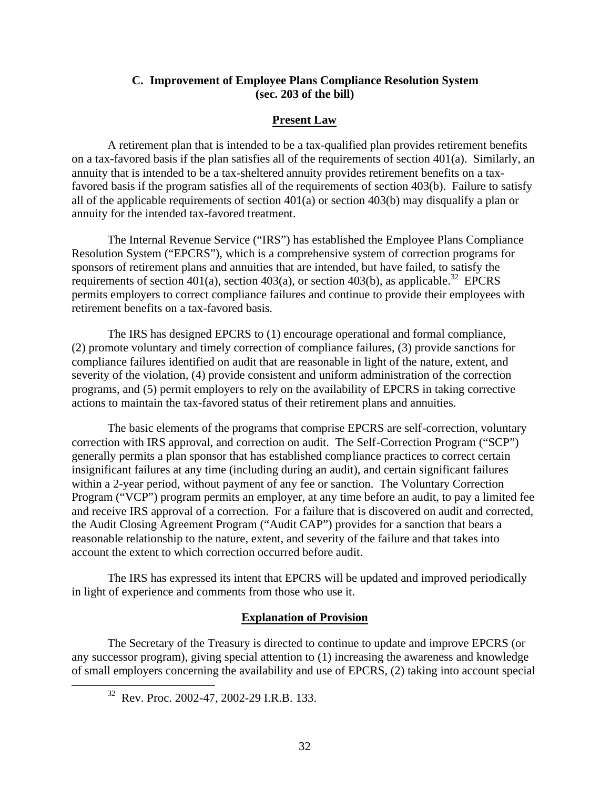## **C. Improvement of Employee Plans Compliance Resolution System (sec. 203 of the bill)**

## **Present Law**

A retirement plan that is intended to be a tax-qualified plan provides retirement benefits on a tax-favored basis if the plan satisfies all of the requirements of section 401(a). Similarly, an annuity that is intended to be a tax-sheltered annuity provides retirement benefits on a taxfavored basis if the program satisfies all of the requirements of section 403(b). Failure to satisfy all of the applicable requirements of section 401(a) or section 403(b) may disqualify a plan or annuity for the intended tax-favored treatment.

The Internal Revenue Service ("IRS") has established the Employee Plans Compliance Resolution System ("EPCRS"), which is a comprehensive system of correction programs for sponsors of retirement plans and annuities that are intended, but have failed, to satisfy the requirements of section 401(a), section 403(a), or section 403(b), as applicable.<sup>32</sup> EPCRS permits employers to correct compliance failures and continue to provide their employees with retirement benefits on a tax-favored basis.

The IRS has designed EPCRS to (1) encourage operational and formal compliance, (2) promote voluntary and timely correction of compliance failures, (3) provide sanctions for compliance failures identified on audit that are reasonable in light of the nature, extent, and severity of the violation, (4) provide consistent and uniform administration of the correction programs, and (5) permit employers to rely on the availability of EPCRS in taking corrective actions to maintain the tax-favored status of their retirement plans and annuities.

The basic elements of the programs that comprise EPCRS are self-correction, voluntary correction with IRS approval, and correction on audit. The Self-Correction Program ("SCP") generally permits a plan sponsor that has established compliance practices to correct certain insignificant failures at any time (including during an audit), and certain significant failures within a 2-year period, without payment of any fee or sanction. The Voluntary Correction Program ("VCP") program permits an employer, at any time before an audit, to pay a limited fee and receive IRS approval of a correction. For a failure that is discovered on audit and corrected, the Audit Closing Agreement Program ("Audit CAP") provides for a sanction that bears a reasonable relationship to the nature, extent, and severity of the failure and that takes into account the extent to which correction occurred before audit.

The IRS has expressed its intent that EPCRS will be updated and improved periodically in light of experience and comments from those who use it.

#### **Explanation of Provision**

The Secretary of the Treasury is directed to continue to update and improve EPCRS (or any successor program), giving special attention to (1) increasing the awareness and knowledge of small employers concerning the availability and use of EPCRS, (2) taking into account special

 $32$  Rev. Proc. 2002-47, 2002-29 I.R.B. 133.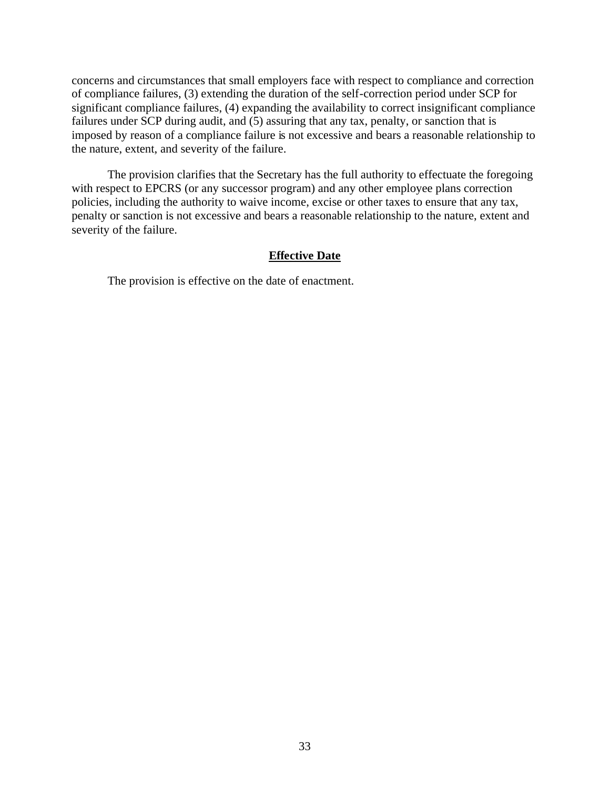concerns and circumstances that small employers face with respect to compliance and correction of compliance failures, (3) extending the duration of the self-correction period under SCP for significant compliance failures, (4) expanding the availability to correct insignificant compliance failures under SCP during audit, and  $(5)$  assuring that any tax, penalty, or sanction that is imposed by reason of a compliance failure is not excessive and bears a reasonable relationship to the nature, extent, and severity of the failure.

The provision clarifies that the Secretary has the full authority to effectuate the foregoing with respect to EPCRS (or any successor program) and any other employee plans correction policies, including the authority to waive income, excise or other taxes to ensure that any tax, penalty or sanction is not excessive and bears a reasonable relationship to the nature, extent and severity of the failure.

### **Effective Date**

The provision is effective on the date of enactment.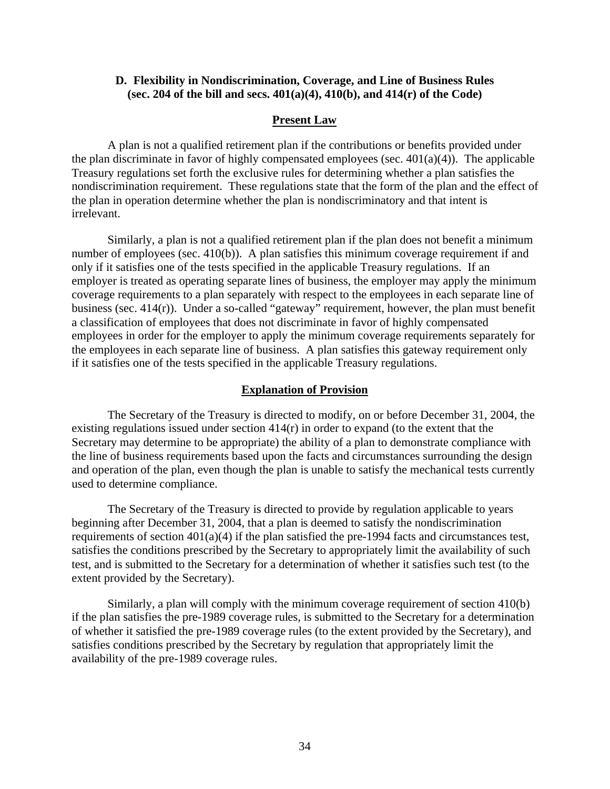## **D. Flexibility in Nondiscrimination, Coverage, and Line of Business Rules (sec. 204 of the bill and secs. 401(a)(4), 410(b), and 414(r) of the Code)**

### **Present Law**

A plan is not a qualified retirement plan if the contributions or benefits provided under the plan discriminate in favor of highly compensated employees (sec. 401(a)(4)). The applicable Treasury regulations set forth the exclusive rules for determining whether a plan satisfies the nondiscrimination requirement. These regulations state that the form of the plan and the effect of the plan in operation determine whether the plan is nondiscriminatory and that intent is irrelevant.

Similarly, a plan is not a qualified retirement plan if the plan does not benefit a minimum number of employees (sec. 410(b)). A plan satisfies this minimum coverage requirement if and only if it satisfies one of the tests specified in the applicable Treasury regulations. If an employer is treated as operating separate lines of business, the employer may apply the minimum coverage requirements to a plan separately with respect to the employees in each separate line of business (sec. 414(r)). Under a so-called "gateway" requirement, however, the plan must benefit a classification of employees that does not discriminate in favor of highly compensated employees in order for the employer to apply the minimum coverage requirements separately for the employees in each separate line of business. A plan satisfies this gateway requirement only if it satisfies one of the tests specified in the applicable Treasury regulations.

### **Explanation of Provision**

The Secretary of the Treasury is directed to modify, on or before December 31, 2004, the existing regulations issued under section  $414(r)$  in order to expand (to the extent that the Secretary may determine to be appropriate) the ability of a plan to demonstrate compliance with the line of business requirements based upon the facts and circumstances surrounding the design and operation of the plan, even though the plan is unable to satisfy the mechanical tests currently used to determine compliance.

The Secretary of the Treasury is directed to provide by regulation applicable to years beginning after December 31, 2004, that a plan is deemed to satisfy the nondiscrimination requirements of section 401(a)(4) if the plan satisfied the pre-1994 facts and circumstances test, satisfies the conditions prescribed by the Secretary to appropriately limit the availability of such test, and is submitted to the Secretary for a determination of whether it satisfies such test (to the extent provided by the Secretary).

Similarly, a plan will comply with the minimum coverage requirement of section 410(b) if the plan satisfies the pre-1989 coverage rules, is submitted to the Secretary for a determination of whether it satisfied the pre-1989 coverage rules (to the extent provided by the Secretary), and satisfies conditions prescribed by the Secretary by regulation that appropriately limit the availability of the pre-1989 coverage rules.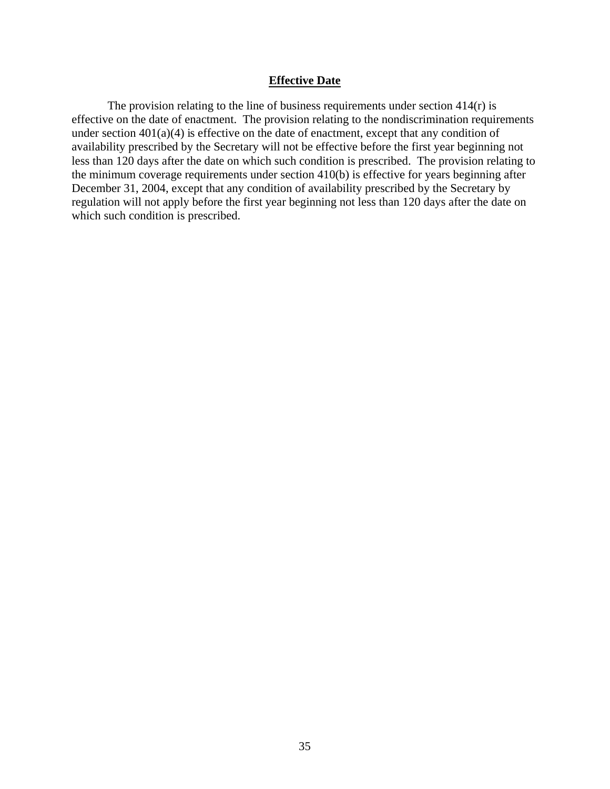#### **Effective Date**

The provision relating to the line of business requirements under section  $414(r)$  is effective on the date of enactment. The provision relating to the nondiscrimination requirements under section  $401(a)(4)$  is effective on the date of enactment, except that any condition of availability prescribed by the Secretary will not be effective before the first year beginning not less than 120 days after the date on which such condition is prescribed. The provision relating to the minimum coverage requirements under section 410(b) is effective for years beginning after December 31, 2004, except that any condition of availability prescribed by the Secretary by regulation will not apply before the first year beginning not less than 120 days after the date on which such condition is prescribed.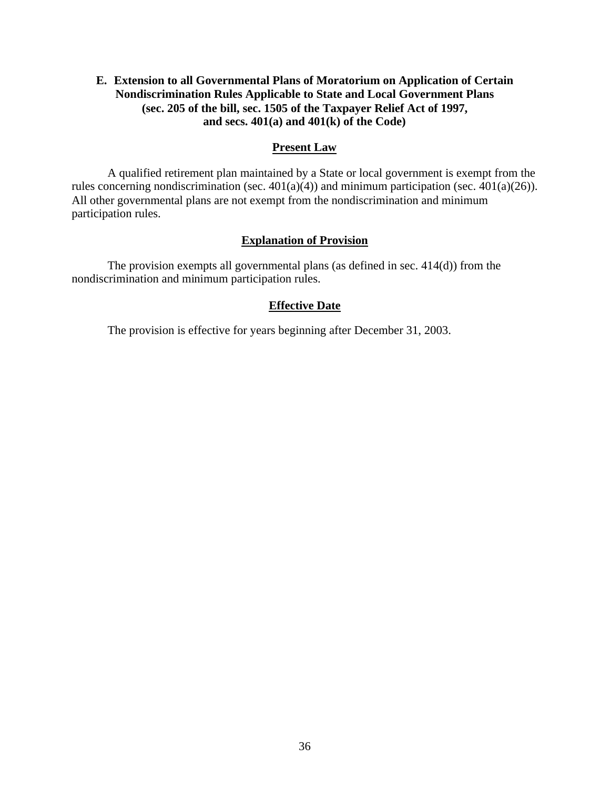## **E. Extension to all Governmental Plans of Moratorium on Application of Certain Nondiscrimination Rules Applicable to State and Local Government Plans (sec. 205 of the bill, sec. 1505 of the Taxpayer Relief Act of 1997, and secs. 401(a) and 401(k) of the Code)**

## **Present Law**

A qualified retirement plan maintained by a State or local government is exempt from the rules concerning nondiscrimination (sec.  $401(a)(4)$ ) and minimum participation (sec.  $401(a)(26)$ ). All other governmental plans are not exempt from the nondiscrimination and minimum participation rules.

## **Explanation of Provision**

The provision exempts all governmental plans (as defined in sec. 414(d)) from the nondiscrimination and minimum participation rules.

## **Effective Date**

The provision is effective for years beginning after December 31, 2003.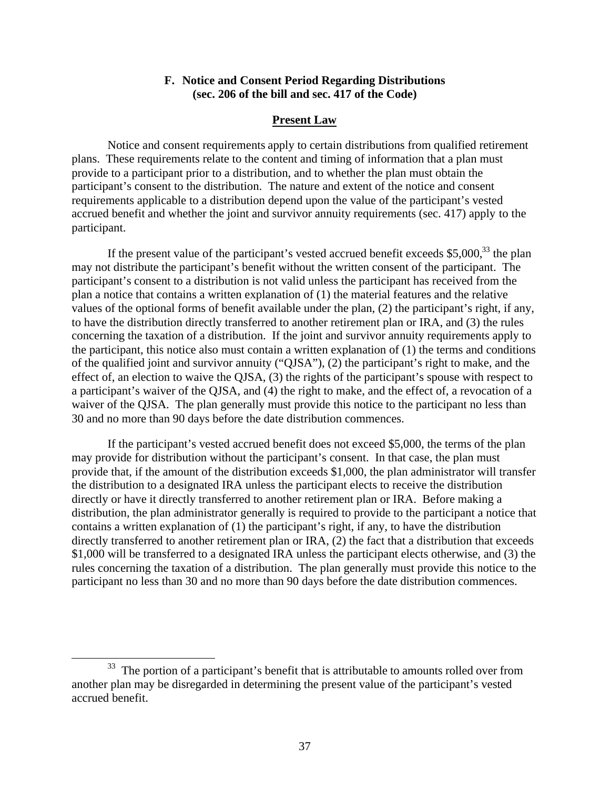### **F. Notice and Consent Period Regarding Distributions (sec. 206 of the bill and sec. 417 of the Code)**

### **Present Law**

Notice and consent requirements apply to certain distributions from qualified retirement plans. These requirements relate to the content and timing of information that a plan must provide to a participant prior to a distribution, and to whether the plan must obtain the participant's consent to the distribution. The nature and extent of the notice and consent requirements applicable to a distribution depend upon the value of the participant's vested accrued benefit and whether the joint and survivor annuity requirements (sec. 417) apply to the participant.

If the present value of the participant's vested accrued benefit exceeds  $$5,000$ ,<sup>33</sup> the plan may not distribute the participant's benefit without the written consent of the participant. The participant's consent to a distribution is not valid unless the participant has received from the plan a notice that contains a written explanation of (1) the material features and the relative values of the optional forms of benefit available under the plan, (2) the participant's right, if any, to have the distribution directly transferred to another retirement plan or IRA, and (3) the rules concerning the taxation of a distribution. If the joint and survivor annuity requirements apply to the participant, this notice also must contain a written explanation of (1) the terms and conditions of the qualified joint and survivor annuity ("QJSA"), (2) the participant's right to make, and the effect of, an election to waive the QJSA, (3) the rights of the participant's spouse with respect to a participant's waiver of the QJSA, and (4) the right to make, and the effect of, a revocation of a waiver of the QJSA. The plan generally must provide this notice to the participant no less than 30 and no more than 90 days before the date distribution commences.

If the participant's vested accrued benefit does not exceed \$5,000, the terms of the plan may provide for distribution without the participant's consent. In that case, the plan must provide that, if the amount of the distribution exceeds \$1,000, the plan administrator will transfer the distribution to a designated IRA unless the participant elects to receive the distribution directly or have it directly transferred to another retirement plan or IRA. Before making a distribution, the plan administrator generally is required to provide to the participant a notice that contains a written explanation of (1) the participant's right, if any, to have the distribution directly transferred to another retirement plan or IRA, (2) the fact that a distribution that exceeds \$1,000 will be transferred to a designated IRA unless the participant elects otherwise, and (3) the rules concerning the taxation of a distribution. The plan generally must provide this notice to the participant no less than 30 and no more than 90 days before the date distribution commences.

<sup>&</sup>lt;sup>33</sup> The portion of a participant's benefit that is attributable to amounts rolled over from another plan may be disregarded in determining the present value of the participant's vested accrued benefit.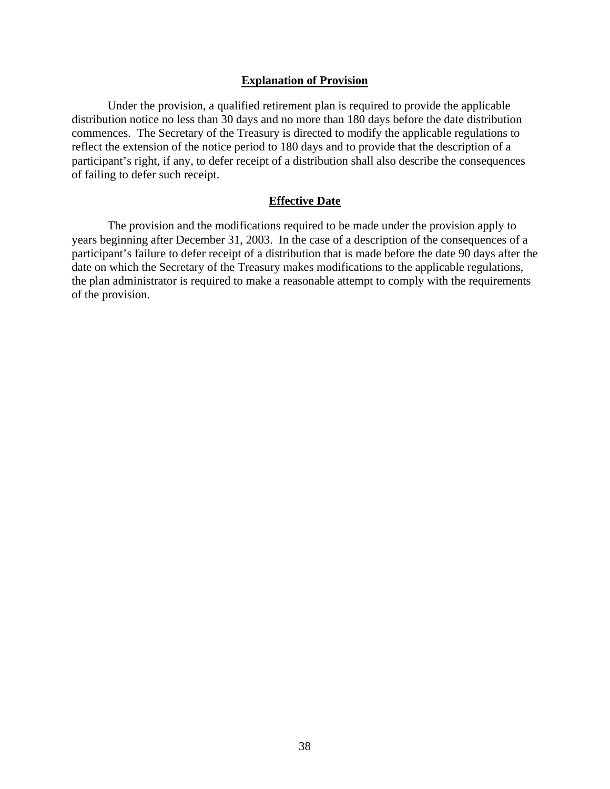### **Explanation of Provision**

Under the provision, a qualified retirement plan is required to provide the applicable distribution notice no less than 30 days and no more than 180 days before the date distribution commences. The Secretary of the Treasury is directed to modify the applicable regulations to reflect the extension of the notice period to 180 days and to provide that the description of a participant's right, if any, to defer receipt of a distribution shall also describe the consequences of failing to defer such receipt.

### **Effective Date**

The provision and the modifications required to be made under the provision apply to years beginning after December 31, 2003. In the case of a description of the consequences of a participant's failure to defer receipt of a distribution that is made before the date 90 days after the date on which the Secretary of the Treasury makes modifications to the applicable regulations, the plan administrator is required to make a reasonable attempt to comply with the requirements of the provision.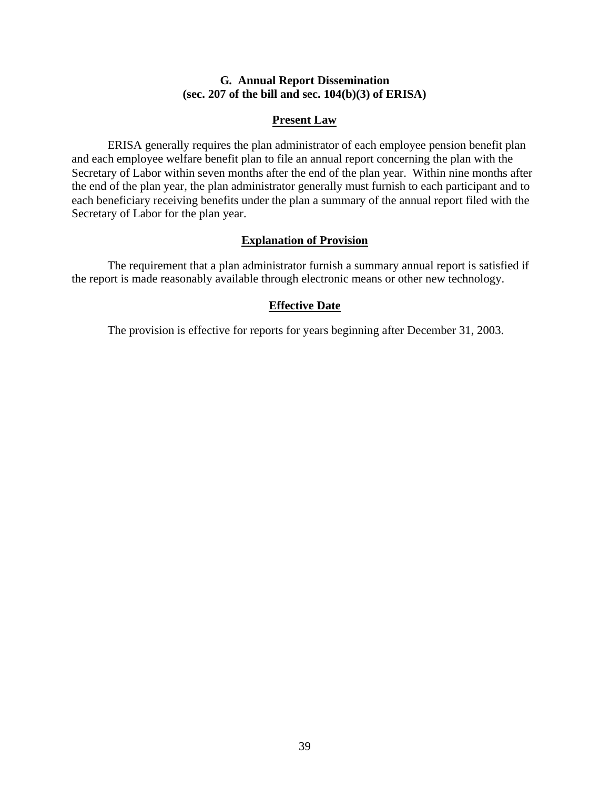## **G. Annual Report Dissemination (sec. 207 of the bill and sec. 104(b)(3) of ERISA)**

## **Present Law**

ERISA generally requires the plan administrator of each employee pension benefit plan and each employee welfare benefit plan to file an annual report concerning the plan with the Secretary of Labor within seven months after the end of the plan year. Within nine months after the end of the plan year, the plan administrator generally must furnish to each participant and to each beneficiary receiving benefits under the plan a summary of the annual report filed with the Secretary of Labor for the plan year.

### **Explanation of Provision**

The requirement that a plan administrator furnish a summary annual report is satisfied if the report is made reasonably available through electronic means or other new technology.

### **Effective Date**

The provision is effective for reports for years beginning after December 31, 2003.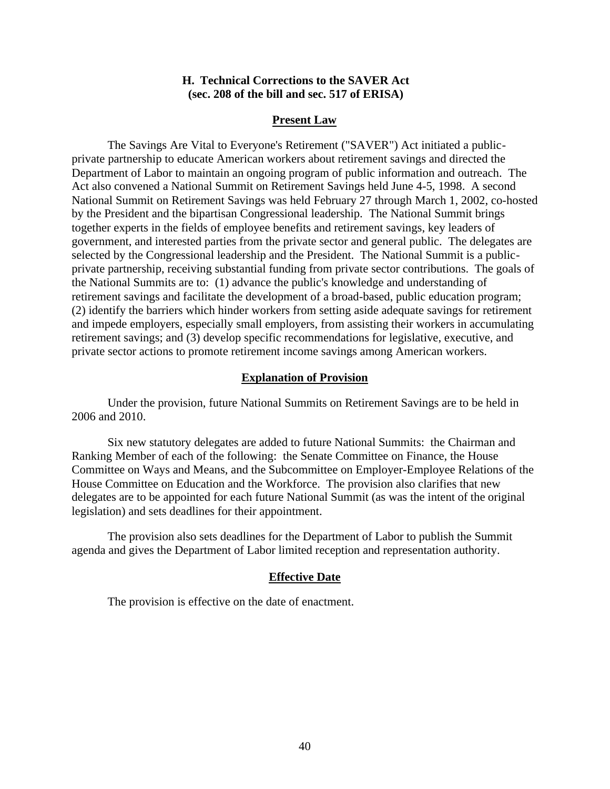### **H. Technical Corrections to the SAVER Act (sec. 208 of the bill and sec. 517 of ERISA)**

### **Present Law**

The Savings Are Vital to Everyone's Retirement ("SAVER") Act initiated a publicprivate partnership to educate American workers about retirement savings and directed the Department of Labor to maintain an ongoing program of public information and outreach. The Act also convened a National Summit on Retirement Savings held June 4-5, 1998. A second National Summit on Retirement Savings was held February 27 through March 1, 2002, co-hosted by the President and the bipartisan Congressional leadership. The National Summit brings together experts in the fields of employee benefits and retirement savings, key leaders of government, and interested parties from the private sector and general public. The delegates are selected by the Congressional leadership and the President. The National Summit is a publicprivate partnership, receiving substantial funding from private sector contributions. The goals of the National Summits are to: (1) advance the public's knowledge and understanding of retirement savings and facilitate the development of a broad-based, public education program; (2) identify the barriers which hinder workers from setting aside adequate savings for retirement and impede employers, especially small employers, from assisting their workers in accumulating retirement savings; and (3) develop specific recommendations for legislative, executive, and private sector actions to promote retirement income savings among American workers.

### **Explanation of Provision**

Under the provision, future National Summits on Retirement Savings are to be held in 2006 and 2010.

Six new statutory delegates are added to future National Summits: the Chairman and Ranking Member of each of the following: the Senate Committee on Finance, the House Committee on Ways and Means, and the Subcommittee on Employer-Employee Relations of the House Committee on Education and the Workforce. The provision also clarifies that new delegates are to be appointed for each future National Summit (as was the intent of the original legislation) and sets deadlines for their appointment.

The provision also sets deadlines for the Department of Labor to publish the Summit agenda and gives the Department of Labor limited reception and representation authority.

#### **Effective Date**

The provision is effective on the date of enactment.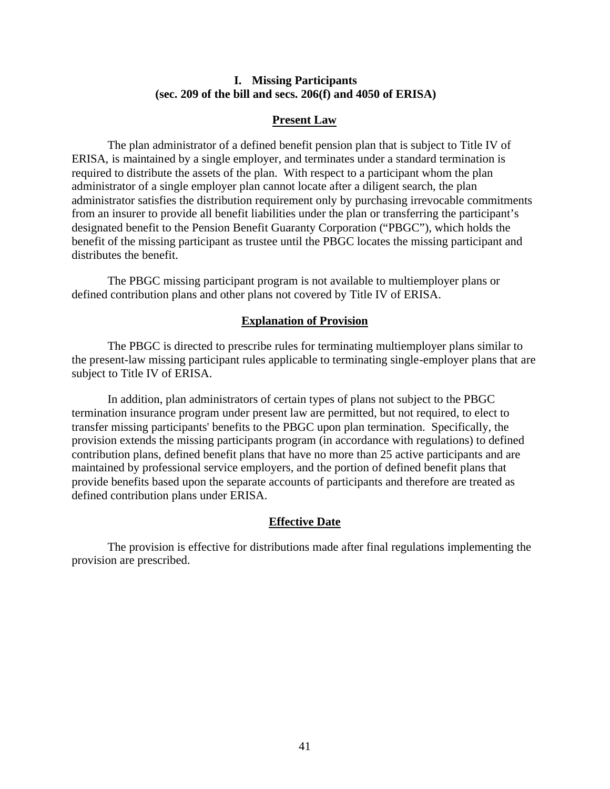### **I. Missing Participants (sec. 209 of the bill and secs. 206(f) and 4050 of ERISA)**

### **Present Law**

The plan administrator of a defined benefit pension plan that is subject to Title IV of ERISA, is maintained by a single employer, and terminates under a standard termination is required to distribute the assets of the plan. With respect to a participant whom the plan administrator of a single employer plan cannot locate after a diligent search, the plan administrator satisfies the distribution requirement only by purchasing irrevocable commitments from an insurer to provide all benefit liabilities under the plan or transferring the participant's designated benefit to the Pension Benefit Guaranty Corporation ("PBGC"), which holds the benefit of the missing participant as trustee until the PBGC locates the missing participant and distributes the benefit.

The PBGC missing participant program is not available to multiemployer plans or defined contribution plans and other plans not covered by Title IV of ERISA.

#### **Explanation of Provision**

The PBGC is directed to prescribe rules for terminating multiemployer plans similar to the present-law missing participant rules applicable to terminating single-employer plans that are subject to Title IV of ERISA.

In addition, plan administrators of certain types of plans not subject to the PBGC termination insurance program under present law are permitted, but not required, to elect to transfer missing participants' benefits to the PBGC upon plan termination. Specifically, the provision extends the missing participants program (in accordance with regulations) to defined contribution plans, defined benefit plans that have no more than 25 active participants and are maintained by professional service employers, and the portion of defined benefit plans that provide benefits based upon the separate accounts of participants and therefore are treated as defined contribution plans under ERISA.

### **Effective Date**

The provision is effective for distributions made after final regulations implementing the provision are prescribed.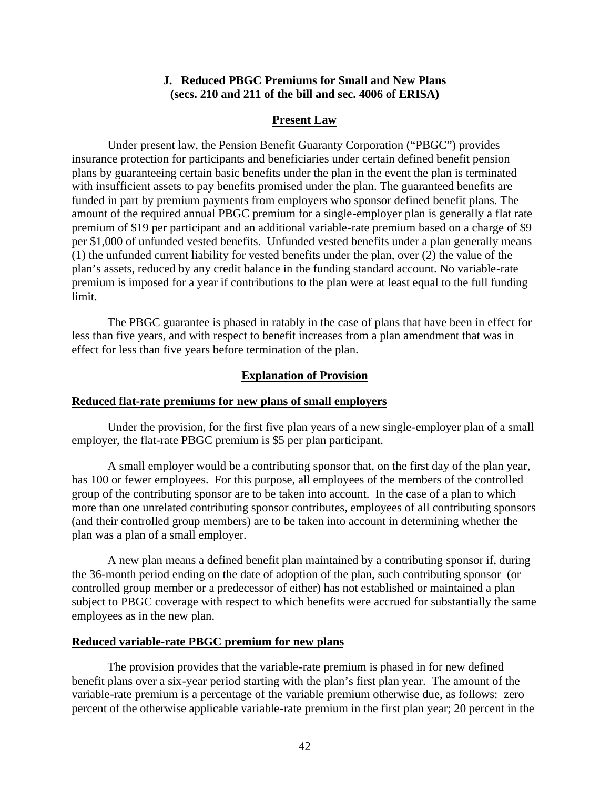### **J. Reduced PBGC Premiums for Small and New Plans (secs. 210 and 211 of the bill and sec. 4006 of ERISA)**

### **Present Law**

Under present law, the Pension Benefit Guaranty Corporation ("PBGC") provides insurance protection for participants and beneficiaries under certain defined benefit pension plans by guaranteeing certain basic benefits under the plan in the event the plan is terminated with insufficient assets to pay benefits promised under the plan. The guaranteed benefits are funded in part by premium payments from employers who sponsor defined benefit plans. The amount of the required annual PBGC premium for a single-employer plan is generally a flat rate premium of \$19 per participant and an additional variable-rate premium based on a charge of \$9 per \$1,000 of unfunded vested benefits. Unfunded vested benefits under a plan generally means (1) the unfunded current liability for vested benefits under the plan, over (2) the value of the plan's assets, reduced by any credit balance in the funding standard account. No variable-rate premium is imposed for a year if contributions to the plan were at least equal to the full funding limit.

The PBGC guarantee is phased in ratably in the case of plans that have been in effect for less than five years, and with respect to benefit increases from a plan amendment that was in effect for less than five years before termination of the plan.

### **Explanation of Provision**

#### **Reduced flat-rate premiums for new plans of small employers**

Under the provision, for the first five plan years of a new single-employer plan of a small employer, the flat-rate PBGC premium is \$5 per plan participant.

A small employer would be a contributing sponsor that, on the first day of the plan year, has 100 or fewer employees. For this purpose, all employees of the members of the controlled group of the contributing sponsor are to be taken into account. In the case of a plan to which more than one unrelated contributing sponsor contributes, employees of all contributing sponsors (and their controlled group members) are to be taken into account in determining whether the plan was a plan of a small employer.

A new plan means a defined benefit plan maintained by a contributing sponsor if, during the 36-month period ending on the date of adoption of the plan, such contributing sponsor (or controlled group member or a predecessor of either) has not established or maintained a plan subject to PBGC coverage with respect to which benefits were accrued for substantially the same employees as in the new plan.

## **Reduced variable-rate PBGC premium for new plans**

The provision provides that the variable-rate premium is phased in for new defined benefit plans over a six-year period starting with the plan's first plan year. The amount of the variable-rate premium is a percentage of the variable premium otherwise due, as follows: zero percent of the otherwise applicable variable-rate premium in the first plan year; 20 percent in the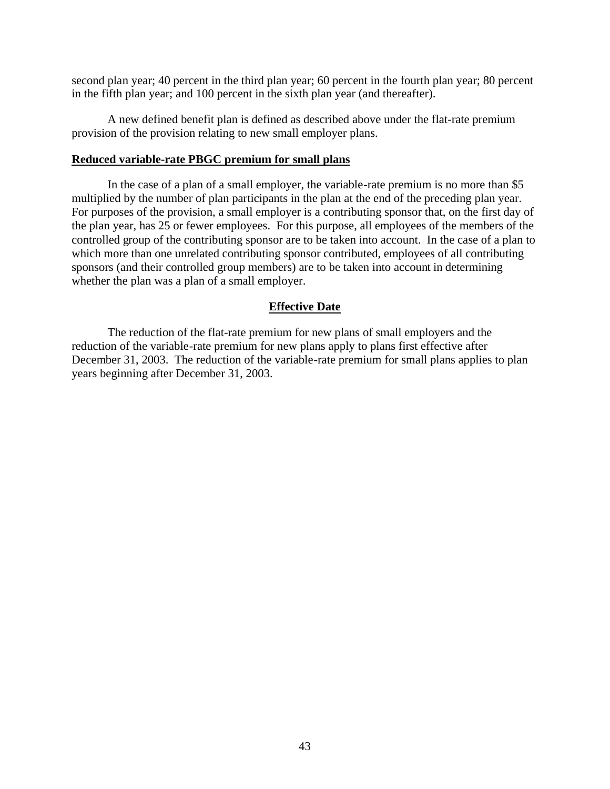second plan year; 40 percent in the third plan year; 60 percent in the fourth plan year; 80 percent in the fifth plan year; and 100 percent in the sixth plan year (and thereafter).

A new defined benefit plan is defined as described above under the flat-rate premium provision of the provision relating to new small employer plans.

### **Reduced variable-rate PBGC premium for small plans**

In the case of a plan of a small employer, the variable-rate premium is no more than \$5 multiplied by the number of plan participants in the plan at the end of the preceding plan year. For purposes of the provision, a small employer is a contributing sponsor that, on the first day of the plan year, has 25 or fewer employees. For this purpose, all employees of the members of the controlled group of the contributing sponsor are to be taken into account. In the case of a plan to which more than one unrelated contributing sponsor contributed, employees of all contributing sponsors (and their controlled group members) are to be taken into account in determining whether the plan was a plan of a small employer.

### **Effective Date**

The reduction of the flat-rate premium for new plans of small employers and the reduction of the variable-rate premium for new plans apply to plans first effective after December 31, 2003. The reduction of the variable-rate premium for small plans applies to plan years beginning after December 31, 2003.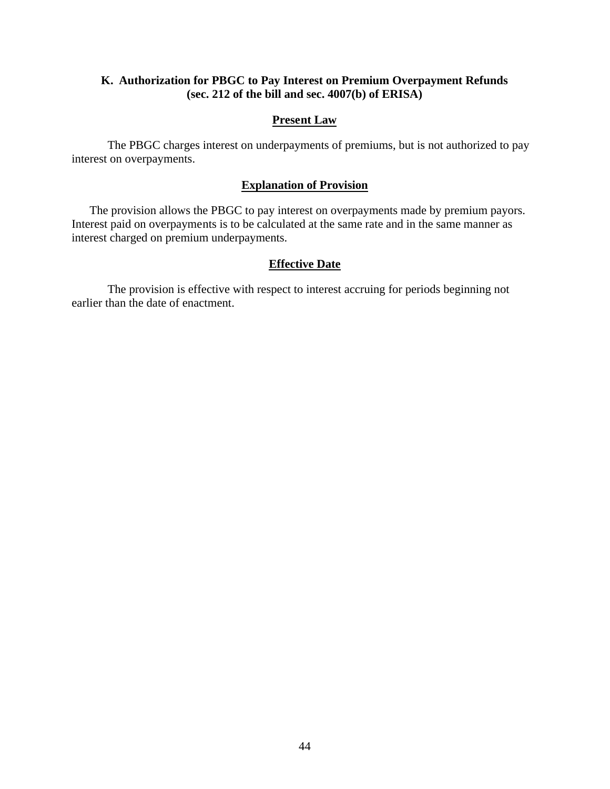## **K. Authorization for PBGC to Pay Interest on Premium Overpayment Refunds (sec. 212 of the bill and sec. 4007(b) of ERISA)**

## **Present Law**

The PBGC charges interest on underpayments of premiums, but is not authorized to pay interest on overpayments.

## **Explanation of Provision**

The provision allows the PBGC to pay interest on overpayments made by premium payors. Interest paid on overpayments is to be calculated at the same rate and in the same manner as interest charged on premium underpayments.

### **Effective Date**

The provision is effective with respect to interest accruing for periods beginning not earlier than the date of enactment.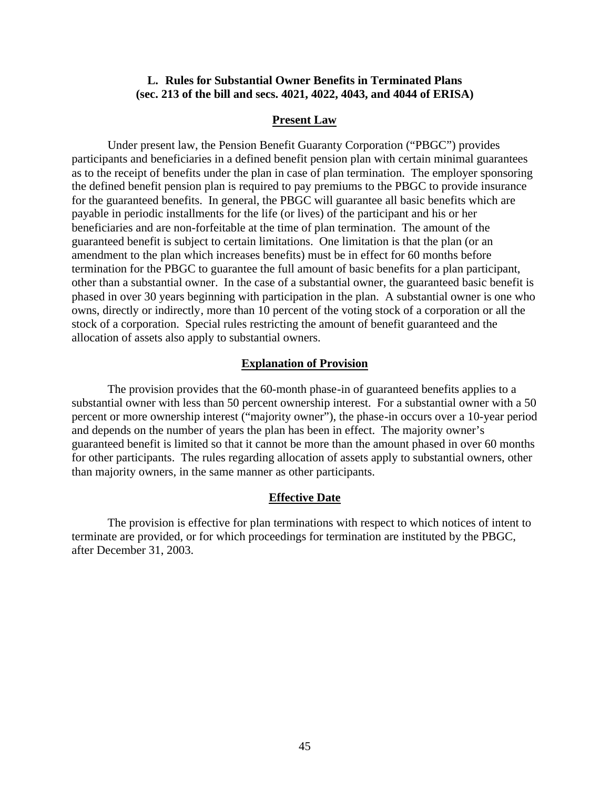### **L. Rules for Substantial Owner Benefits in Terminated Plans (sec. 213 of the bill and secs. 4021, 4022, 4043, and 4044 of ERISA)**

### **Present Law**

Under present law, the Pension Benefit Guaranty Corporation ("PBGC") provides participants and beneficiaries in a defined benefit pension plan with certain minimal guarantees as to the receipt of benefits under the plan in case of plan termination. The employer sponsoring the defined benefit pension plan is required to pay premiums to the PBGC to provide insurance for the guaranteed benefits. In general, the PBGC will guarantee all basic benefits which are payable in periodic installments for the life (or lives) of the participant and his or her beneficiaries and are non-forfeitable at the time of plan termination. The amount of the guaranteed benefit is subject to certain limitations. One limitation is that the plan (or an amendment to the plan which increases benefits) must be in effect for 60 months before termination for the PBGC to guarantee the full amount of basic benefits for a plan participant, other than a substantial owner. In the case of a substantial owner, the guaranteed basic benefit is phased in over 30 years beginning with participation in the plan. A substantial owner is one who owns, directly or indirectly, more than 10 percent of the voting stock of a corporation or all the stock of a corporation. Special rules restricting the amount of benefit guaranteed and the allocation of assets also apply to substantial owners.

#### **Explanation of Provision**

The provision provides that the 60-month phase-in of guaranteed benefits applies to a substantial owner with less than 50 percent ownership interest. For a substantial owner with a 50 percent or more ownership interest ("majority owner"), the phase-in occurs over a 10-year period and depends on the number of years the plan has been in effect. The majority owner's guaranteed benefit is limited so that it cannot be more than the amount phased in over 60 months for other participants. The rules regarding allocation of assets apply to substantial owners, other than majority owners, in the same manner as other participants.

#### **Effective Date**

The provision is effective for plan terminations with respect to which notices of intent to terminate are provided, or for which proceedings for termination are instituted by the PBGC, after December 31, 2003.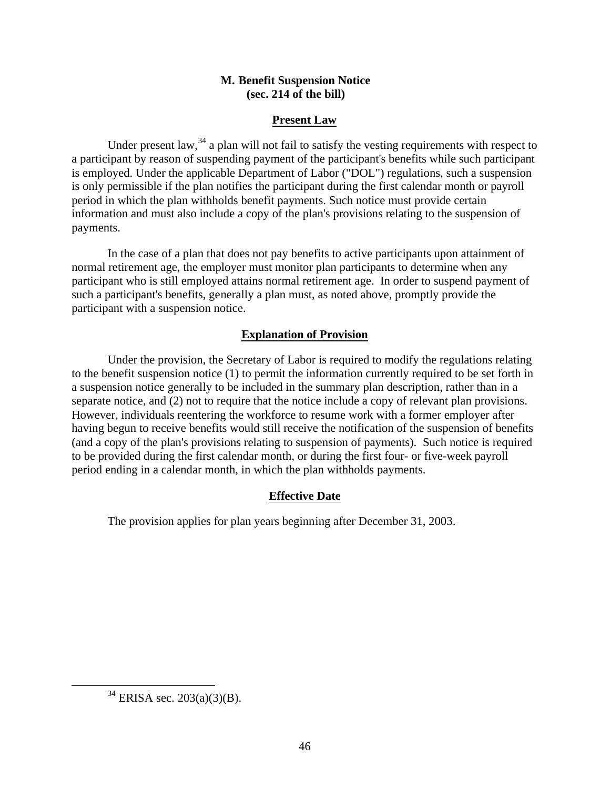## **M. Benefit Suspension Notice (sec. 214 of the bill)**

## **Present Law**

Under present law,  $34$  a plan will not fail to satisfy the vesting requirements with respect to a participant by reason of suspending payment of the participant's benefits while such participant is employed. Under the applicable Department of Labor ("DOL") regulations, such a suspension is only permissible if the plan notifies the participant during the first calendar month or payroll period in which the plan withholds benefit payments. Such notice must provide certain information and must also include a copy of the plan's provisions relating to the suspension of payments.

In the case of a plan that does not pay benefits to active participants upon attainment of normal retirement age, the employer must monitor plan participants to determine when any participant who is still employed attains normal retirement age. In order to suspend payment of such a participant's benefits, generally a plan must, as noted above, promptly provide the participant with a suspension notice.

## **Explanation of Provision**

Under the provision, the Secretary of Labor is required to modify the regulations relating to the benefit suspension notice (1) to permit the information currently required to be set forth in a suspension notice generally to be included in the summary plan description, rather than in a separate notice, and (2) not to require that the notice include a copy of relevant plan provisions. However, individuals reentering the workforce to resume work with a former employer after having begun to receive benefits would still receive the notification of the suspension of benefits (and a copy of the plan's provisions relating to suspension of payments). Such notice is required to be provided during the first calendar month, or during the first four- or five-week payroll period ending in a calendar month, in which the plan withholds payments.

## **Effective Date**

The provision applies for plan years beginning after December 31, 2003.

 $34$  ERISA sec. 203(a)(3)(B).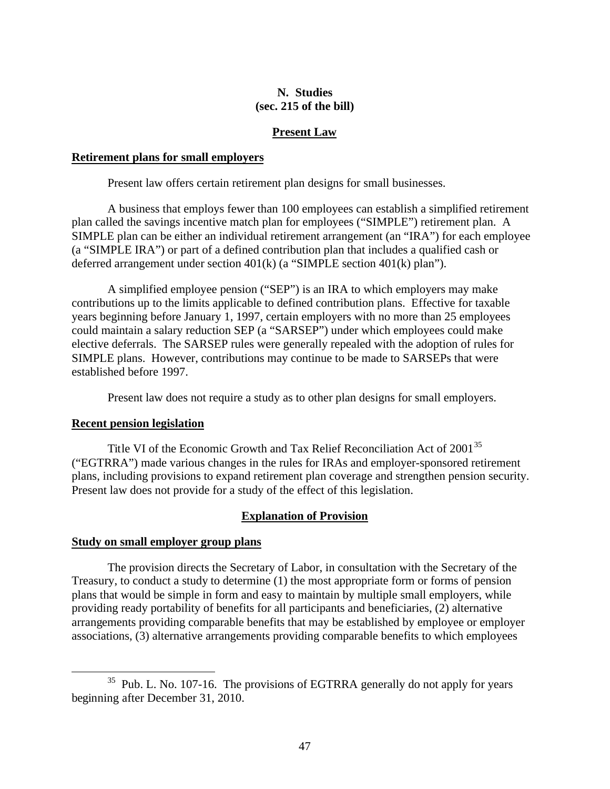## **N. Studies (sec. 215 of the bill)**

## **Present Law**

### **Retirement plans for small employers**

Present law offers certain retirement plan designs for small businesses.

A business that employs fewer than 100 employees can establish a simplified retirement plan called the savings incentive match plan for employees ("SIMPLE") retirement plan. A SIMPLE plan can be either an individual retirement arrangement (an "IRA") for each employee (a "SIMPLE IRA") or part of a defined contribution plan that includes a qualified cash or deferred arrangement under section 401(k) (a "SIMPLE section 401(k) plan").

A simplified employee pension ("SEP") is an IRA to which employers may make contributions up to the limits applicable to defined contribution plans. Effective for taxable years beginning before January 1, 1997, certain employers with no more than 25 employees could maintain a salary reduction SEP (a "SARSEP") under which employees could make elective deferrals. The SARSEP rules were generally repealed with the adoption of rules for SIMPLE plans. However, contributions may continue to be made to SARSEPs that were established before 1997.

Present law does not require a study as to other plan designs for small employers.

### **Recent pension legislation**

 $\overline{a}$ 

Title VI of the Economic Growth and Tax Relief Reconciliation Act of 2001<sup>35</sup> ("EGTRRA") made various changes in the rules for IRAs and employer-sponsored retirement plans, including provisions to expand retirement plan coverage and strengthen pension security. Present law does not provide for a study of the effect of this legislation.

## **Explanation of Provision**

### **Study on small employer group plans**

The provision directs the Secretary of Labor, in consultation with the Secretary of the Treasury, to conduct a study to determine (1) the most appropriate form or forms of pension plans that would be simple in form and easy to maintain by multiple small employers, while providing ready portability of benefits for all participants and beneficiaries, (2) alternative arrangements providing comparable benefits that may be established by employee or employer associations, (3) alternative arrangements providing comparable benefits to which employees

<sup>&</sup>lt;sup>35</sup> Pub. L. No. 107-16. The provisions of EGTRRA generally do not apply for years beginning after December 31, 2010.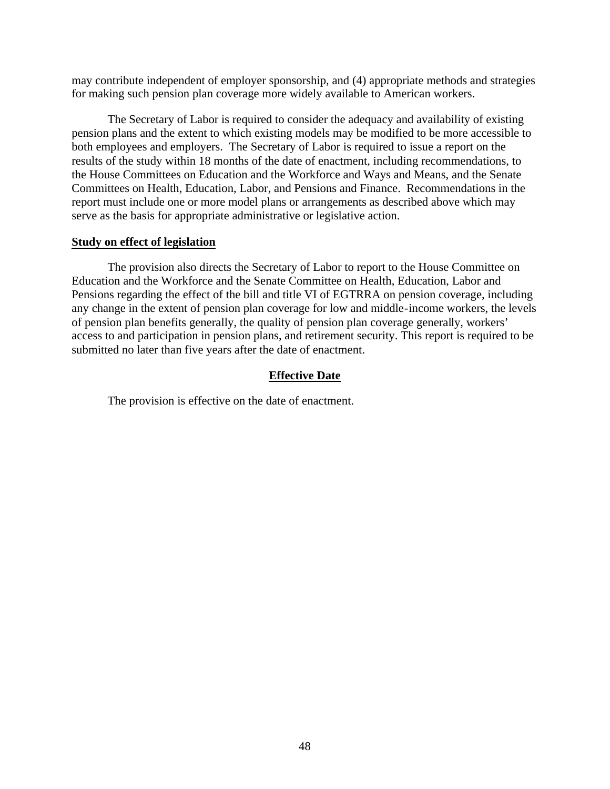may contribute independent of employer sponsorship, and (4) appropriate methods and strategies for making such pension plan coverage more widely available to American workers.

The Secretary of Labor is required to consider the adequacy and availability of existing pension plans and the extent to which existing models may be modified to be more accessible to both employees and employers. The Secretary of Labor is required to issue a report on the results of the study within 18 months of the date of enactment, including recommendations, to the House Committees on Education and the Workforce and Ways and Means, and the Senate Committees on Health, Education, Labor, and Pensions and Finance. Recommendations in the report must include one or more model plans or arrangements as described above which may serve as the basis for appropriate administrative or legislative action.

### **Study on effect of legislation**

The provision also directs the Secretary of Labor to report to the House Committee on Education and the Workforce and the Senate Committee on Health, Education, Labor and Pensions regarding the effect of the bill and title VI of EGTRRA on pension coverage, including any change in the extent of pension plan coverage for low and middle-income workers, the levels of pension plan benefits generally, the quality of pension plan coverage generally, workers' access to and participation in pension plans, and retirement security. This report is required to be submitted no later than five years after the date of enactment.

#### **Effective Date**

The provision is effective on the date of enactment.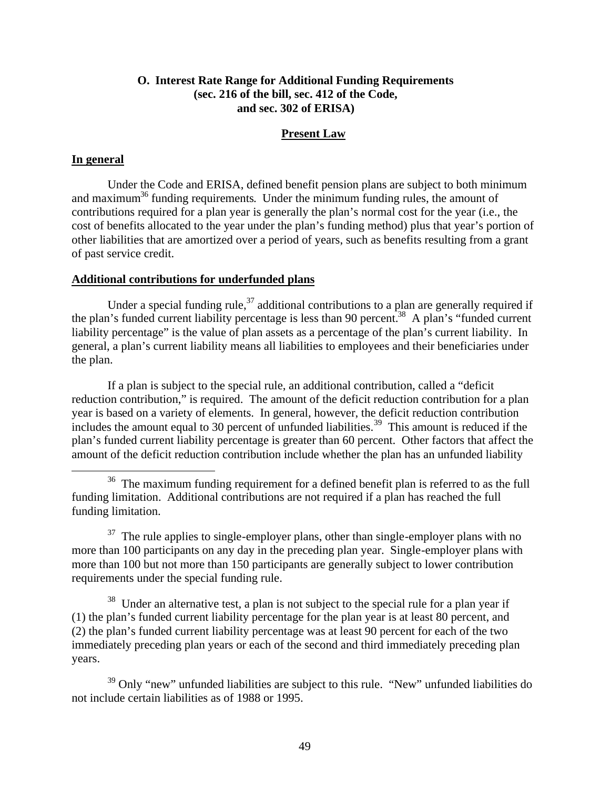## **O. Interest Rate Range for Additional Funding Requirements (sec. 216 of the bill, sec. 412 of the Code, and sec. 302 of ERISA)**

### **Present Law**

### **In general**

 $\overline{a}$ 

Under the Code and ERISA, defined benefit pension plans are subject to both minimum and maximum<sup>36</sup> funding requirements. Under the minimum funding rules, the amount of contributions required for a plan year is generally the plan's normal cost for the year (i.e., the cost of benefits allocated to the year under the plan's funding method) plus that year's portion of other liabilities that are amortized over a period of years, such as benefits resulting from a grant of past service credit.

## **Additional contributions for underfunded plans**

Under a special funding rule,  $37$  additional contributions to a plan are generally required if the plan's funded current liability percentage is less than 90 percent.<sup>38</sup> A plan's "funded current" liability percentage" is the value of plan assets as a percentage of the plan's current liability. In general, a plan's current liability means all liabilities to employees and their beneficiaries under the plan.

If a plan is subject to the special rule, an additional contribution, called a "deficit reduction contribution," is required. The amount of the deficit reduction contribution for a plan year is based on a variety of elements. In general, however, the deficit reduction contribution includes the amount equal to 30 percent of unfunded liabilities.<sup>39</sup> This amount is reduced if the plan's funded current liability percentage is greater than 60 percent. Other factors that affect the amount of the deficit reduction contribution include whether the plan has an unfunded liability

 $37$  The rule applies to single-employer plans, other than single-employer plans with no more than 100 participants on any day in the preceding plan year. Single-employer plans with more than 100 but not more than 150 participants are generally subject to lower contribution requirements under the special funding rule.

<sup>38</sup> Under an alternative test, a plan is not subject to the special rule for a plan year if (1) the plan's funded current liability percentage for the plan year is at least 80 percent, and (2) the plan's funded current liability percentage was at least 90 percent for each of the two immediately preceding plan years or each of the second and third immediately preceding plan years.

<sup>39</sup> Only "new" unfunded liabilities are subject to this rule. "New" unfunded liabilities do not include certain liabilities as of 1988 or 1995.

<sup>&</sup>lt;sup>36</sup> The maximum funding requirement for a defined benefit plan is referred to as the full funding limitation. Additional contributions are not required if a plan has reached the full funding limitation.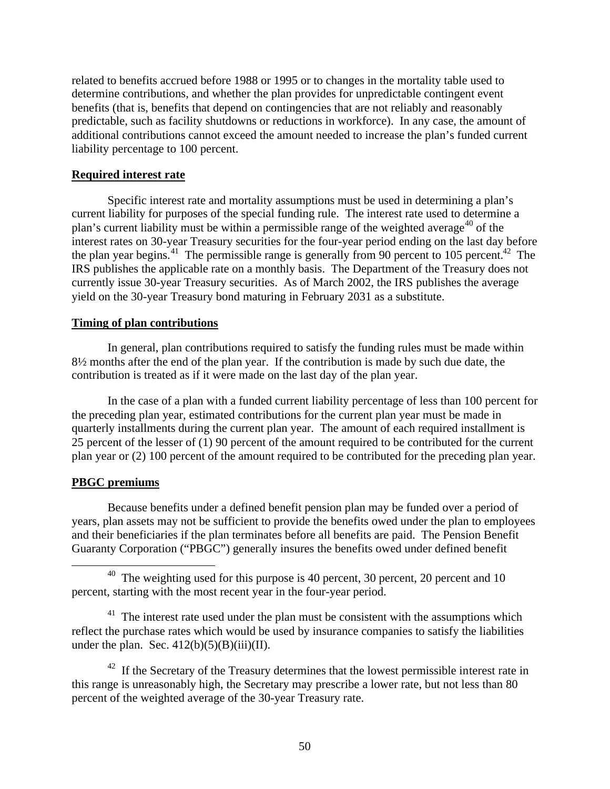related to benefits accrued before 1988 or 1995 or to changes in the mortality table used to determine contributions, and whether the plan provides for unpredictable contingent event benefits (that is, benefits that depend on contingencies that are not reliably and reasonably predictable, such as facility shutdowns or reductions in workforce). In any case, the amount of additional contributions cannot exceed the amount needed to increase the plan's funded current liability percentage to 100 percent.

### **Required interest rate**

Specific interest rate and mortality assumptions must be used in determining a plan's current liability for purposes of the special funding rule. The interest rate used to determine a plan's current liability must be within a permissible range of the weighted average<sup>40</sup> of the interest rates on 30-year Treasury securities for the four-year period ending on the last day before the plan year begins.<sup>41</sup> The permissible range is generally from 90 percent to 105 percent.<sup>42</sup> The IRS publishes the applicable rate on a monthly basis. The Department of the Treasury does not currently issue 30-year Treasury securities. As of March 2002, the IRS publishes the average yield on the 30-year Treasury bond maturing in February 2031 as a substitute.

### **Timing of plan contributions**

In general, plan contributions required to satisfy the funding rules must be made within 8½ months after the end of the plan year. If the contribution is made by such due date, the contribution is treated as if it were made on the last day of the plan year.

In the case of a plan with a funded current liability percentage of less than 100 percent for the preceding plan year, estimated contributions for the current plan year must be made in quarterly installments during the current plan year. The amount of each required installment is 25 percent of the lesser of (1) 90 percent of the amount required to be contributed for the current plan year or (2) 100 percent of the amount required to be contributed for the preceding plan year.

### **PBGC premiums**

 $\overline{a}$ 

Because benefits under a defined benefit pension plan may be funded over a period of years, plan assets may not be sufficient to provide the benefits owed under the plan to employees and their beneficiaries if the plan terminates before all benefits are paid. The Pension Benefit Guaranty Corporation ("PBGC") generally insures the benefits owed under defined benefit

 $41$  The interest rate used under the plan must be consistent with the assumptions which reflect the purchase rates which would be used by insurance companies to satisfy the liabilities under the plan. Sec.  $412(b)(5)(B)(iii)(II)$ .

<sup>42</sup> If the Secretary of the Treasury determines that the lowest permissible interest rate in this range is unreasonably high, the Secretary may prescribe a lower rate, but not less than 80 percent of the weighted average of the 30-year Treasury rate.

<sup>&</sup>lt;sup>40</sup> The weighting used for this purpose is 40 percent, 30 percent, 20 percent and 10 percent, starting with the most recent year in the four-year period.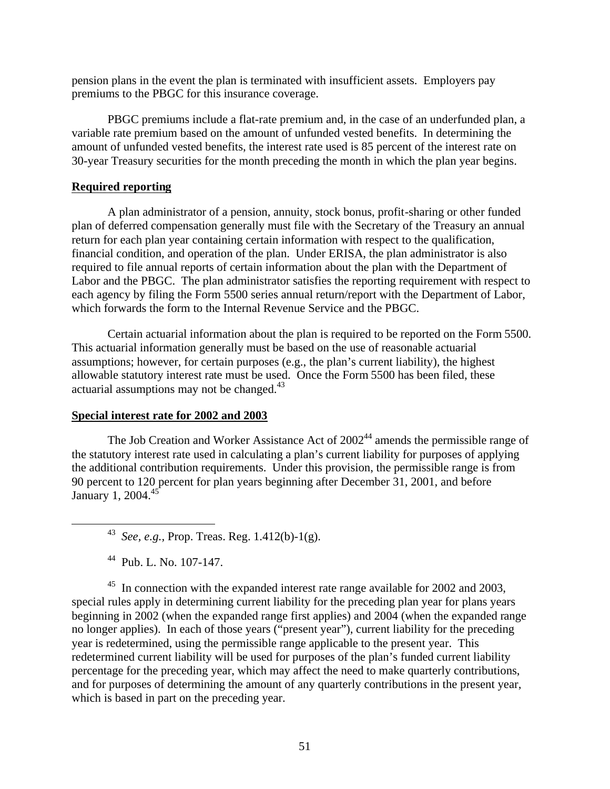pension plans in the event the plan is terminated with insufficient assets. Employers pay premiums to the PBGC for this insurance coverage.

PBGC premiums include a flat-rate premium and, in the case of an underfunded plan, a variable rate premium based on the amount of unfunded vested benefits. In determining the amount of unfunded vested benefits, the interest rate used is 85 percent of the interest rate on 30-year Treasury securities for the month preceding the month in which the plan year begins.

### **Required reporting**

A plan administrator of a pension, annuity, stock bonus, profit-sharing or other funded plan of deferred compensation generally must file with the Secretary of the Treasury an annual return for each plan year containing certain information with respect to the qualification, financial condition, and operation of the plan. Under ERISA, the plan administrator is also required to file annual reports of certain information about the plan with the Department of Labor and the PBGC. The plan administrator satisfies the reporting requirement with respect to each agency by filing the Form 5500 series annual return/report with the Department of Labor, which forwards the form to the Internal Revenue Service and the PBGC.

Certain actuarial information about the plan is required to be reported on the Form 5500. This actuarial information generally must be based on the use of reasonable actuarial assumptions; however, for certain purposes (e.g., the plan's current liability), the highest allowable statutory interest rate must be used. Once the Form 5500 has been filed, these actuarial assumptions may not be changed. $43$ 

#### **Special interest rate for 2002 and 2003**

The Job Creation and Worker Assistance Act of  $2002<sup>44</sup>$  amends the permissible range of the statutory interest rate used in calculating a plan's current liability for purposes of applying the additional contribution requirements. Under this provision, the permissible range is from 90 percent to 120 percent for plan years beginning after December 31, 2001, and before January 1, 2004.<sup>45</sup>

 $\overline{a}$ 

<sup>45</sup> In connection with the expanded interest rate range available for 2002 and 2003, special rules apply in determining current liability for the preceding plan year for plans years beginning in 2002 (when the expanded range first applies) and 2004 (when the expanded range no longer applies). In each of those years ("present year"), current liability for the preceding year is redetermined, using the permissible range applicable to the present year. This redetermined current liability will be used for purposes of the plan's funded current liability percentage for the preceding year, which may affect the need to make quarterly contributions, and for purposes of determining the amount of any quarterly contributions in the present year, which is based in part on the preceding year.

<sup>43</sup> *See, e.g.,* Prop. Treas. Reg. 1.412(b)-1(g).

<sup>44</sup> Pub. L. No. 107-147.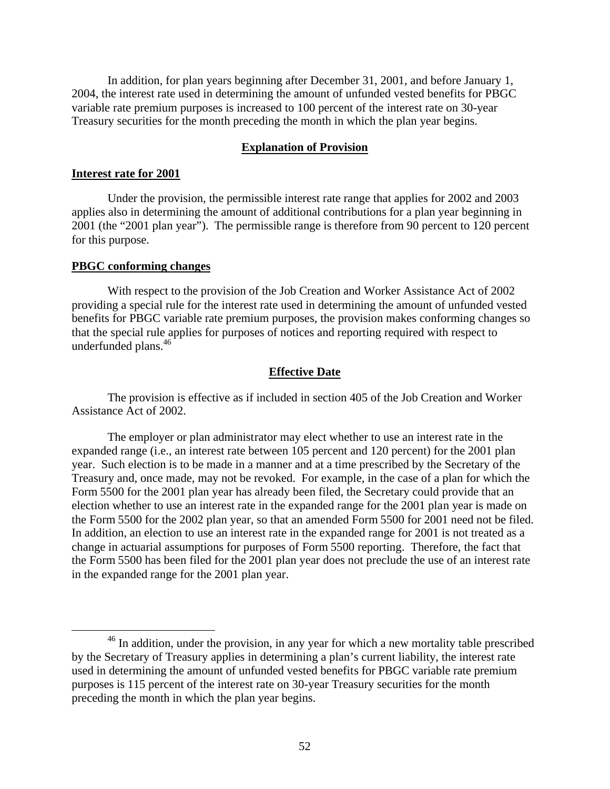In addition, for plan years beginning after December 31, 2001, and before January 1, 2004, the interest rate used in determining the amount of unfunded vested benefits for PBGC variable rate premium purposes is increased to 100 percent of the interest rate on 30-year Treasury securities for the month preceding the month in which the plan year begins.

### **Explanation of Provision**

#### **Interest rate for 2001**

Under the provision, the permissible interest rate range that applies for 2002 and 2003 applies also in determining the amount of additional contributions for a plan year beginning in 2001 (the "2001 plan year"). The permissible range is therefore from 90 percent to 120 percent for this purpose.

### **PBGC conforming changes**

 $\overline{a}$ 

With respect to the provision of the Job Creation and Worker Assistance Act of 2002 providing a special rule for the interest rate used in determining the amount of unfunded vested benefits for PBGC variable rate premium purposes, the provision makes conforming changes so that the special rule applies for purposes of notices and reporting required with respect to underfunded plans.<sup>46</sup>

### **Effective Date**

The provision is effective as if included in section 405 of the Job Creation and Worker Assistance Act of 2002.

The employer or plan administrator may elect whether to use an interest rate in the expanded range (i.e., an interest rate between 105 percent and 120 percent) for the 2001 plan year. Such election is to be made in a manner and at a time prescribed by the Secretary of the Treasury and, once made, may not be revoked. For example, in the case of a plan for which the Form 5500 for the 2001 plan year has already been filed, the Secretary could provide that an election whether to use an interest rate in the expanded range for the 2001 plan year is made on the Form 5500 for the 2002 plan year, so that an amended Form 5500 for 2001 need not be filed. In addition, an election to use an interest rate in the expanded range for 2001 is not treated as a change in actuarial assumptions for purposes of Form 5500 reporting. Therefore, the fact that the Form 5500 has been filed for the 2001 plan year does not preclude the use of an interest rate in the expanded range for the 2001 plan year.

<sup>&</sup>lt;sup>46</sup> In addition, under the provision, in any year for which a new mortality table prescribed by the Secretary of Treasury applies in determining a plan's current liability, the interest rate used in determining the amount of unfunded vested benefits for PBGC variable rate premium purposes is 115 percent of the interest rate on 30-year Treasury securities for the month preceding the month in which the plan year begins.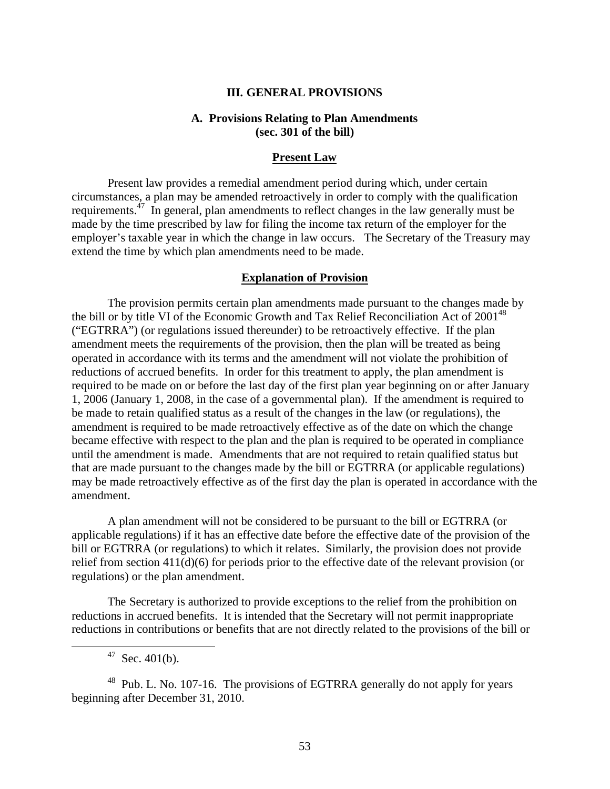### **III. GENERAL PROVISIONS**

### **A. Provisions Relating to Plan Amendments (sec. 301 of the bill)**

#### **Present Law**

Present law provides a remedial amendment period during which, under certain circumstances, a plan may be amended retroactively in order to comply with the qualification requirements.<sup>47</sup> In general, plan amendments to reflect changes in the law generally must be made by the time prescribed by law for filing the income tax return of the employer for the employer's taxable year in which the change in law occurs. The Secretary of the Treasury may extend the time by which plan amendments need to be made.

#### **Explanation of Provision**

The provision permits certain plan amendments made pursuant to the changes made by the bill or by title VI of the Economic Growth and Tax Relief Reconciliation Act of  $2001^{48}$ ("EGTRRA") (or regulations issued thereunder) to be retroactively effective. If the plan amendment meets the requirements of the provision, then the plan will be treated as being operated in accordance with its terms and the amendment will not violate the prohibition of reductions of accrued benefits. In order for this treatment to apply, the plan amendment is required to be made on or before the last day of the first plan year beginning on or after January 1, 2006 (January 1, 2008, in the case of a governmental plan). If the amendment is required to be made to retain qualified status as a result of the changes in the law (or regulations), the amendment is required to be made retroactively effective as of the date on which the change became effective with respect to the plan and the plan is required to be operated in compliance until the amendment is made. Amendments that are not required to retain qualified status but that are made pursuant to the changes made by the bill or EGTRRA (or applicable regulations) may be made retroactively effective as of the first day the plan is operated in accordance with the amendment.

A plan amendment will not be considered to be pursuant to the bill or EGTRRA (or applicable regulations) if it has an effective date before the effective date of the provision of the bill or EGTRRA (or regulations) to which it relates. Similarly, the provision does not provide relief from section  $411(d)(6)$  for periods prior to the effective date of the relevant provision (or regulations) or the plan amendment.

The Secretary is authorized to provide exceptions to the relief from the prohibition on reductions in accrued benefits. It is intended that the Secretary will not permit inappropriate reductions in contributions or benefits that are not directly related to the provisions of the bill or

 $47$  Sec. 401(b).

 $\overline{a}$ 

 $48$  Pub. L. No. 107-16. The provisions of EGTRRA generally do not apply for years beginning after December 31, 2010.